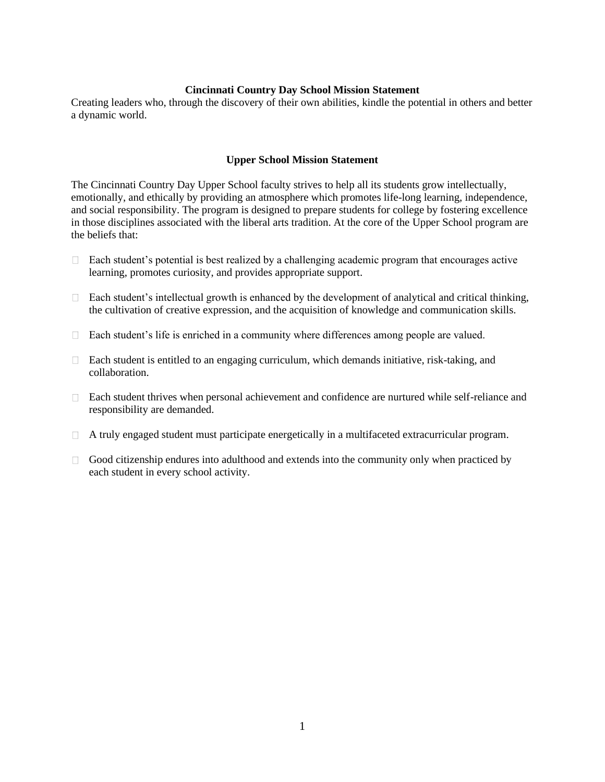## **Cincinnati Country Day School Mission Statement**

Creating leaders who, through the discovery of their own abilities, kindle the potential in others and better a dynamic world.

## **Upper School Mission Statement**

The Cincinnati Country Day Upper School faculty strives to help all its students grow intellectually, emotionally, and ethically by providing an atmosphere which promotes life-long learning, independence, and social responsibility. The program is designed to prepare students for college by fostering excellence in those disciplines associated with the liberal arts tradition. At the core of the Upper School program are the beliefs that:

- Each student's potential is best realized by a challenging academic program that encourages active  $\Box$ learning, promotes curiosity, and provides appropriate support.
- $\Box$  Each student's intellectual growth is enhanced by the development of analytical and critical thinking, the cultivation of creative expression, and the acquisition of knowledge and communication skills.
- Each student's life is enriched in a community where differences among people are valued.
- $\Box$  Each student is entitled to an engaging curriculum, which demands initiative, risk-taking, and collaboration.
- Each student thrives when personal achievement and confidence are nurtured while self-reliance and responsibility are demanded.
- A truly engaged student must participate energetically in a multifaceted extracurricular program.
- $\Box$  Good citizenship endures into adulthood and extends into the community only when practiced by each student in every school activity.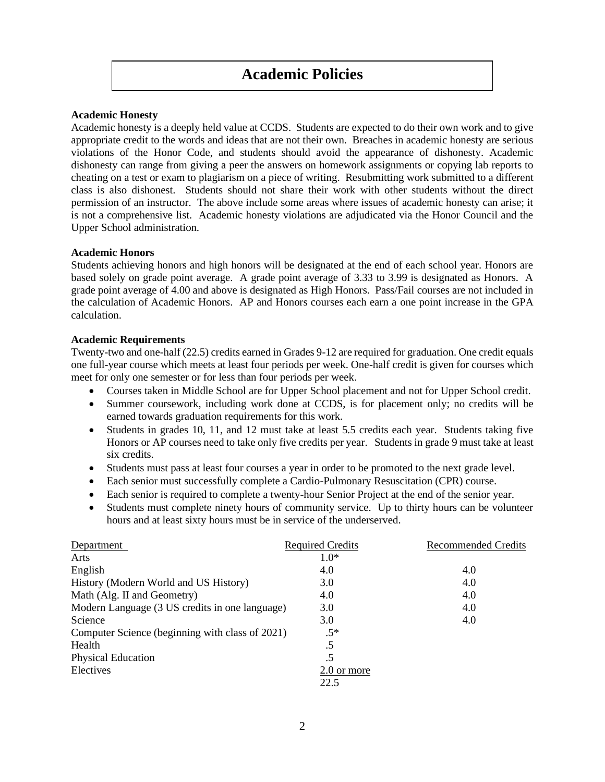# **Academic Policies**

## **Academic Honesty**

Academic honesty is a deeply held value at CCDS. Students are expected to do their own work and to give appropriate credit to the words and ideas that are not their own. Breaches in academic honesty are serious violations of the Honor Code, and students should avoid the appearance of dishonesty. Academic dishonesty can range from giving a peer the answers on homework assignments or copying lab reports to cheating on a test or exam to plagiarism on a piece of writing. Resubmitting work submitted to a different class is also dishonest. Students should not share their work with other students without the direct permission of an instructor. The above include some areas where issues of academic honesty can arise; it is not a comprehensive list. Academic honesty violations are adjudicated via the Honor Council and the Upper School administration.

## **Academic Honors**

Students achieving honors and high honors will be designated at the end of each school year. Honors are based solely on grade point average. A grade point average of 3.33 to 3.99 is designated as Honors. A grade point average of 4.00 and above is designated as High Honors. Pass/Fail courses are not included in the calculation of Academic Honors. AP and Honors courses each earn a one point increase in the GPA calculation.

## **Academic Requirements**

Twenty-two and one-half (22.5) credits earned in Grades 9-12 are required for graduation. One credit equals one full-year course which meets at least four periods per week. One-half credit is given for courses which meet for only one semester or for less than four periods per week.

- Courses taken in Middle School are for Upper School placement and not for Upper School credit.
- Summer coursework, including work done at CCDS, is for placement only; no credits will be earned towards graduation requirements for this work.
- Students in grades 10, 11, and 12 must take at least 5.5 credits each year. Students taking five Honors or AP courses need to take only five credits per year. Students in grade 9 must take at least six credits.
- Students must pass at least four courses a year in order to be promoted to the next grade level.
- Each senior must successfully complete a Cardio-Pulmonary Resuscitation (CPR) course.
- Each senior is required to complete a twenty-hour Senior Project at the end of the senior year.
- Students must complete ninety hours of community service. Up to thirty hours can be volunteer hours and at least sixty hours must be in service of the underserved.

| Department                                      | <b>Required Credits</b> | Recommended Credits |
|-------------------------------------------------|-------------------------|---------------------|
| Arts                                            | $1.0*$                  |                     |
| English                                         | 4.0                     | 4.0                 |
| History (Modern World and US History)           | 3.0                     | 4.0                 |
| Math (Alg. II and Geometry)                     | 4.0                     | 4.0                 |
| Modern Language (3 US credits in one language)  | 3.0                     | 4.0                 |
| Science                                         | 3.0                     | 4.0                 |
| Computer Science (beginning with class of 2021) | $.5*$                   |                     |
| Health                                          | .5                      |                     |
| <b>Physical Education</b>                       | .5                      |                     |
| Electives                                       | 2.0 or more             |                     |
|                                                 | 22.5                    |                     |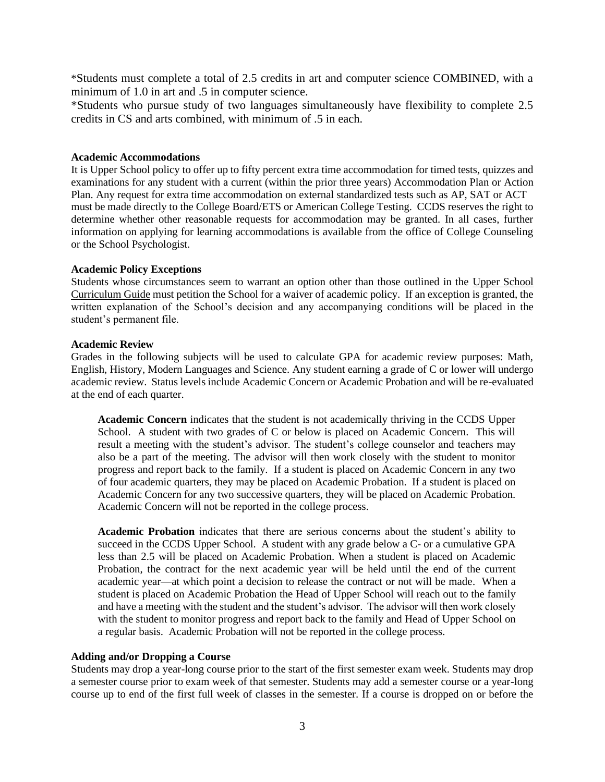\*Students must complete a total of 2.5 credits in art and computer science COMBINED, with a minimum of 1.0 in art and .5 in computer science.

\*Students who pursue study of two languages simultaneously have flexibility to complete 2.5 credits in CS and arts combined, with minimum of .5 in each.

## **Academic Accommodations**

It is Upper School policy to offer up to fifty percent extra time accommodation for timed tests, quizzes and examinations for any student with a current (within the prior three years) Accommodation Plan or Action Plan. Any request for extra time accommodation on external standardized tests such as AP, SAT or ACT must be made directly to the College Board/ETS or American College Testing. CCDS reserves the right to determine whether other reasonable requests for accommodation may be granted. In all cases, further information on applying for learning accommodations is available from the office of College Counseling or the School Psychologist.

#### **Academic Policy Exceptions**

Students whose circumstances seem to warrant an option other than those outlined in the Upper School Curriculum Guide must petition the School for a waiver of academic policy. If an exception is granted, the written explanation of the School's decision and any accompanying conditions will be placed in the student's permanent file.

#### **Academic Review**

Grades in the following subjects will be used to calculate GPA for academic review purposes: Math, English, History, Modern Languages and Science. Any student earning a grade of C or lower will undergo academic review. Status levels include Academic Concern or Academic Probation and will be re-evaluated at the end of each quarter.

**Academic Concern** indicates that the student is not academically thriving in the CCDS Upper School. A student with two grades of C or below is placed on Academic Concern. This will result a meeting with the student's advisor. The student's college counselor and teachers may also be a part of the meeting. The advisor will then work closely with the student to monitor progress and report back to the family. If a student is placed on Academic Concern in any two of four academic quarters, they may be placed on Academic Probation. If a student is placed on Academic Concern for any two successive quarters, they will be placed on Academic Probation. Academic Concern will not be reported in the college process.

**Academic Probation** indicates that there are serious concerns about the student's ability to succeed in the CCDS Upper School. A student with any grade below a C- or a cumulative GPA less than 2.5 will be placed on Academic Probation. When a student is placed on Academic Probation, the contract for the next academic year will be held until the end of the current academic year—at which point a decision to release the contract or not will be made. When a student is placed on Academic Probation the Head of Upper School will reach out to the family and have a meeting with the student and the student's advisor. The advisor will then work closely with the student to monitor progress and report back to the family and Head of Upper School on a regular basis. Academic Probation will not be reported in the college process.

#### **Adding and/or Dropping a Course**

Students may drop a year-long course prior to the start of the first semester exam week. Students may drop a semester course prior to exam week of that semester. Students may add a semester course or a year-long course up to end of the first full week of classes in the semester. If a course is dropped on or before the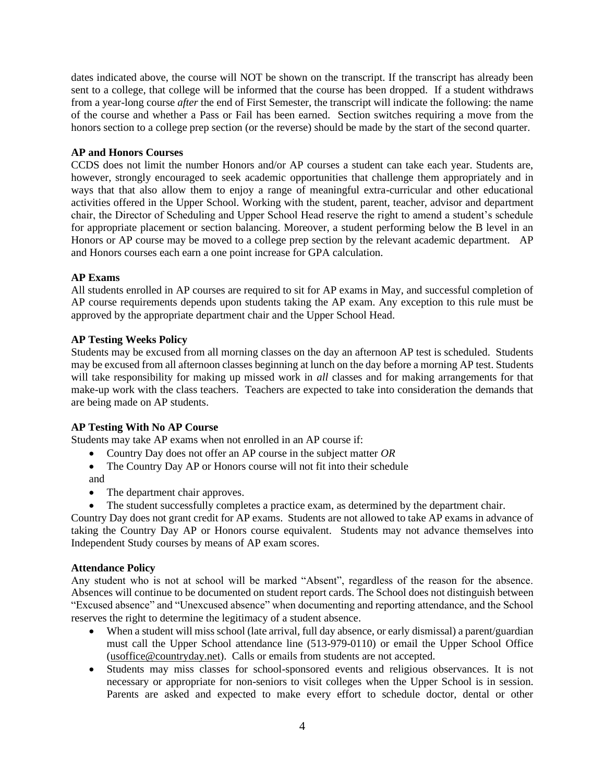dates indicated above, the course will NOT be shown on the transcript. If the transcript has already been sent to a college, that college will be informed that the course has been dropped. If a student withdraws from a year-long course *after* the end of First Semester, the transcript will indicate the following: the name of the course and whether a Pass or Fail has been earned. Section switches requiring a move from the honors section to a college prep section (or the reverse) should be made by the start of the second quarter.

## **AP and Honors Courses**

CCDS does not limit the number Honors and/or AP courses a student can take each year. Students are, however, strongly encouraged to seek academic opportunities that challenge them appropriately and in ways that that also allow them to enjoy a range of meaningful extra-curricular and other educational activities offered in the Upper School. Working with the student, parent, teacher, advisor and department chair, the Director of Scheduling and Upper School Head reserve the right to amend a student's schedule for appropriate placement or section balancing. Moreover, a student performing below the B level in an Honors or AP course may be moved to a college prep section by the relevant academic department. AP and Honors courses each earn a one point increase for GPA calculation.

# **AP Exams**

All students enrolled in AP courses are required to sit for AP exams in May, and successful completion of AP course requirements depends upon students taking the AP exam. Any exception to this rule must be approved by the appropriate department chair and the Upper School Head.

# **AP Testing Weeks Policy**

Students may be excused from all morning classes on the day an afternoon AP test is scheduled. Students may be excused from all afternoon classes beginning at lunch on the day before a morning AP test. Students will take responsibility for making up missed work in *all* classes and for making arrangements for that make-up work with the class teachers. Teachers are expected to take into consideration the demands that are being made on AP students.

## **AP Testing With No AP Course**

Students may take AP exams when not enrolled in an AP course if:

- Country Day does not offer an AP course in the subject matter *OR*
- The Country Day AP or Honors course will not fit into their schedule and
- The department chair approves.
- The student successfully completes a practice exam, as determined by the department chair.

Country Day does not grant credit for AP exams. Students are not allowed to take AP exams in advance of taking the Country Day AP or Honors course equivalent. Students may not advance themselves into Independent Study courses by means of AP exam scores.

## **Attendance Policy**

Any student who is not at school will be marked "Absent", regardless of the reason for the absence. Absences will continue to be documented on student report cards. The School does not distinguish between "Excused absence" and "Unexcused absence" when documenting and reporting attendance, and the School reserves the right to determine the legitimacy of a student absence.

- When a student will miss school (late arrival, full day absence, or early dismissal) a parent/guardian must call the Upper School attendance line (513-979-0110) or email the Upper School Office [\(usoffice@countryday.net\)](mailto:usoffice@countryday.net). Calls or emails from students are not accepted.
- Students may miss classes for school-sponsored events and religious observances. It is not necessary or appropriate for non-seniors to visit colleges when the Upper School is in session. Parents are asked and expected to make every effort to schedule doctor, dental or other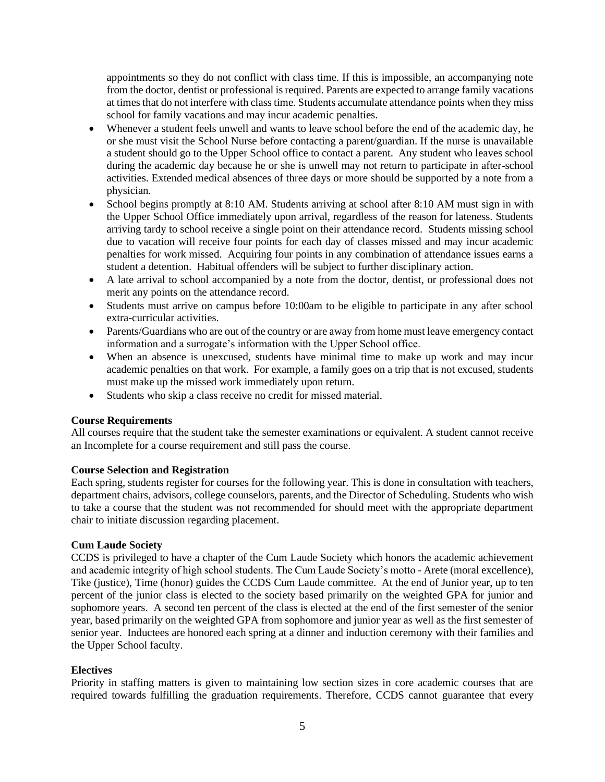appointments so they do not conflict with class time. If this is impossible, an accompanying note from the doctor, dentist or professional is required. Parents are expected to arrange family vacations at times that do not interfere with class time. Students accumulate attendance points when they miss school for family vacations and may incur academic penalties.

- Whenever a student feels unwell and wants to leave school before the end of the academic day, he or she must visit the School Nurse before contacting a parent/guardian. If the nurse is unavailable a student should go to the Upper School office to contact a parent. Any student who leaves school during the academic day because he or she is unwell may not return to participate in after-school activities. Extended medical absences of three days or more should be supported by a note from a physician*.*
- School begins promptly at 8:10 AM. Students arriving at school after 8:10 AM must sign in with the Upper School Office immediately upon arrival, regardless of the reason for lateness. Students arriving tardy to school receive a single point on their attendance record. Students missing school due to vacation will receive four points for each day of classes missed and may incur academic penalties for work missed. Acquiring four points in any combination of attendance issues earns a student a detention. Habitual offenders will be subject to further disciplinary action.
- A late arrival to school accompanied by a note from the doctor, dentist, or professional does not merit any points on the attendance record.
- Students must arrive on campus before 10:00am to be eligible to participate in any after school extra-curricular activities.
- Parents/Guardians who are out of the country or are away from home must leave emergency contact information and a surrogate's information with the Upper School office.
- When an absence is unexcused, students have minimal time to make up work and may incur academic penalties on that work. For example, a family goes on a trip that is not excused, students must make up the missed work immediately upon return.
- Students who skip a class receive no credit for missed material.

## **Course Requirements**

All courses require that the student take the semester examinations or equivalent. A student cannot receive an Incomplete for a course requirement and still pass the course.

## **Course Selection and Registration**

Each spring, students register for courses for the following year. This is done in consultation with teachers, department chairs, advisors, college counselors, parents, and the Director of Scheduling. Students who wish to take a course that the student was not recommended for should meet with the appropriate department chair to initiate discussion regarding placement.

## **Cum Laude Society**

CCDS is privileged to have a chapter of the Cum Laude Society which honors the academic achievement and academic integrity of high school students. The Cum Laude Society's motto - Arete (moral excellence), Tike (justice), Time (honor) guides the CCDS Cum Laude committee. At the end of Junior year, up to ten percent of the junior class is elected to the society based primarily on the weighted GPA for junior and sophomore years. A second ten percent of the class is elected at the end of the first semester of the senior year, based primarily on the weighted GPA from sophomore and junior year as well as the first semester of senior year. Inductees are honored each spring at a dinner and induction ceremony with their families and the Upper School faculty.

## **Electives**

Priority in staffing matters is given to maintaining low section sizes in core academic courses that are required towards fulfilling the graduation requirements. Therefore, CCDS cannot guarantee that every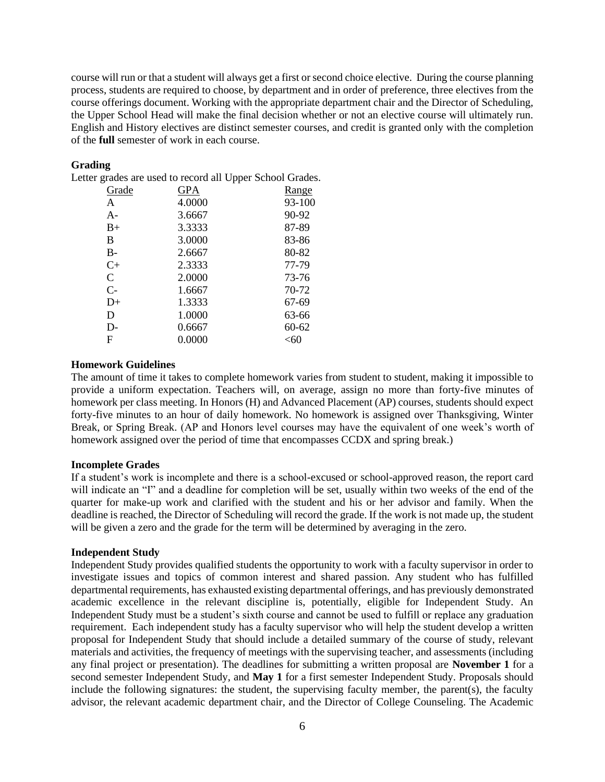course will run or that a student will always get a first or second choice elective. During the course planning process, students are required to choose, by department and in order of preference, three electives from the course offerings document. Working with the appropriate department chair and the Director of Scheduling, the Upper School Head will make the final decision whether or not an elective course will ultimately run. English and History electives are distinct semester courses, and credit is granted only with the completion of the **full** semester of work in each course.

## **Grading**

Letter grades are used to record all Upper School Grades.

| Grade         | <b>GPA</b> | Range     |
|---------------|------------|-----------|
| A             | 4.0000     | 93-100    |
| $A -$         | 3.6667     | 90-92     |
| $B+$          | 3.3333     | 87-89     |
| B             | 3.0000     | 83-86     |
| $B-$          | 2.6667     | 80-82     |
| $C+$          | 2.3333     | 77-79     |
| $\mathcal{C}$ | 2.0000     | 73-76     |
| $C-$          | 1.6667     | 70-72     |
| $D+$          | 1.3333     | 67-69     |
| D             | 1.0000     | 63-66     |
| $D-$          | 0.6667     | $60 - 62$ |
| F             | 0.0000     | <60       |
|               |            |           |

## **Homework Guidelines**

The amount of time it takes to complete homework varies from student to student, making it impossible to provide a uniform expectation. Teachers will, on average, assign no more than forty-five minutes of homework per class meeting. In Honors (H) and Advanced Placement (AP) courses, students should expect forty-five minutes to an hour of daily homework. No homework is assigned over Thanksgiving, Winter Break, or Spring Break. (AP and Honors level courses may have the equivalent of one week's worth of homework assigned over the period of time that encompasses CCDX and spring break.)

#### **Incomplete Grades**

If a student's work is incomplete and there is a school-excused or school-approved reason, the report card will indicate an "I" and a deadline for completion will be set, usually within two weeks of the end of the quarter for make-up work and clarified with the student and his or her advisor and family. When the deadline is reached, the Director of Scheduling will record the grade. If the work is not made up, the student will be given a zero and the grade for the term will be determined by averaging in the zero.

#### **Independent Study**

Independent Study provides qualified students the opportunity to work with a faculty supervisor in order to investigate issues and topics of common interest and shared passion. Any student who has fulfilled departmental requirements, has exhausted existing departmental offerings, and has previously demonstrated academic excellence in the relevant discipline is, potentially, eligible for Independent Study. An Independent Study must be a student's sixth course and cannot be used to fulfill or replace any graduation requirement. Each independent study has a faculty supervisor who will help the student develop a written proposal for Independent Study that should include a detailed summary of the course of study, relevant materials and activities, the frequency of meetings with the supervising teacher, and assessments (including any final project or presentation). The deadlines for submitting a written proposal are **November 1** for a second semester Independent Study, and **May 1** for a first semester Independent Study. Proposals should include the following signatures: the student, the supervising faculty member, the parent(s), the faculty advisor, the relevant academic department chair, and the Director of College Counseling. The Academic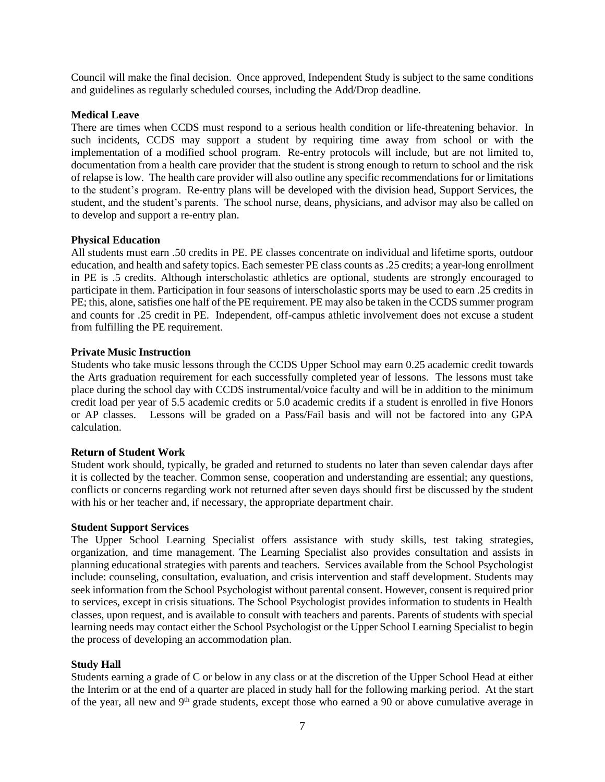Council will make the final decision. Once approved, Independent Study is subject to the same conditions and guidelines as regularly scheduled courses, including the Add/Drop deadline.

## **Medical Leave**

There are times when CCDS must respond to a serious health condition or life-threatening behavior. In such incidents, CCDS may support a student by requiring time away from school or with the implementation of a modified school program. Re-entry protocols will include, but are not limited to, documentation from a health care provider that the student is strong enough to return to school and the risk of relapse is low. The health care provider will also outline any specific recommendations for or limitations to the student's program. Re-entry plans will be developed with the division head, Support Services, the student, and the student's parents. The school nurse, deans, physicians, and advisor may also be called on to develop and support a re-entry plan.

## **Physical Education**

All students must earn .50 credits in PE. PE classes concentrate on individual and lifetime sports, outdoor education, and health and safety topics. Each semester PE class counts as .25 credits; a year-long enrollment in PE is .5 credits. Although interscholastic athletics are optional, students are strongly encouraged to participate in them. Participation in four seasons of interscholastic sports may be used to earn .25 credits in PE; this, alone, satisfies one half of the PE requirement. PE may also be taken in the CCDS summer program and counts for .25 credit in PE. Independent, off-campus athletic involvement does not excuse a student from fulfilling the PE requirement.

## **Private Music Instruction**

Students who take music lessons through the CCDS Upper School may earn 0.25 academic credit towards the Arts graduation requirement for each successfully completed year of lessons. The lessons must take place during the school day with CCDS instrumental/voice faculty and will be in addition to the minimum credit load per year of 5.5 academic credits or 5.0 academic credits if a student is enrolled in five Honors or AP classes. Lessons will be graded on a Pass/Fail basis and will not be factored into any GPA calculation.

#### **Return of Student Work**

Student work should, typically, be graded and returned to students no later than seven calendar days after it is collected by the teacher. Common sense, cooperation and understanding are essential; any questions, conflicts or concerns regarding work not returned after seven days should first be discussed by the student with his or her teacher and, if necessary, the appropriate department chair.

#### **Student Support Services**

The Upper School Learning Specialist offers assistance with study skills, test taking strategies, organization, and time management. The Learning Specialist also provides consultation and assists in planning educational strategies with parents and teachers. Services available from the School Psychologist include: counseling, consultation, evaluation, and crisis intervention and staff development. Students may seek information from the School Psychologist without parental consent. However, consent is required prior to services, except in crisis situations. The School Psychologist provides information to students in Health classes, upon request, and is available to consult with teachers and parents. Parents of students with special learning needs may contact either the School Psychologist or the Upper School Learning Specialist to begin the process of developing an accommodation plan.

#### **Study Hall**

Students earning a grade of C or below in any class or at the discretion of the Upper School Head at either the Interim or at the end of a quarter are placed in study hall for the following marking period. At the start of the year, all new and 9<sup>th</sup> grade students, except those who earned a 90 or above cumulative average in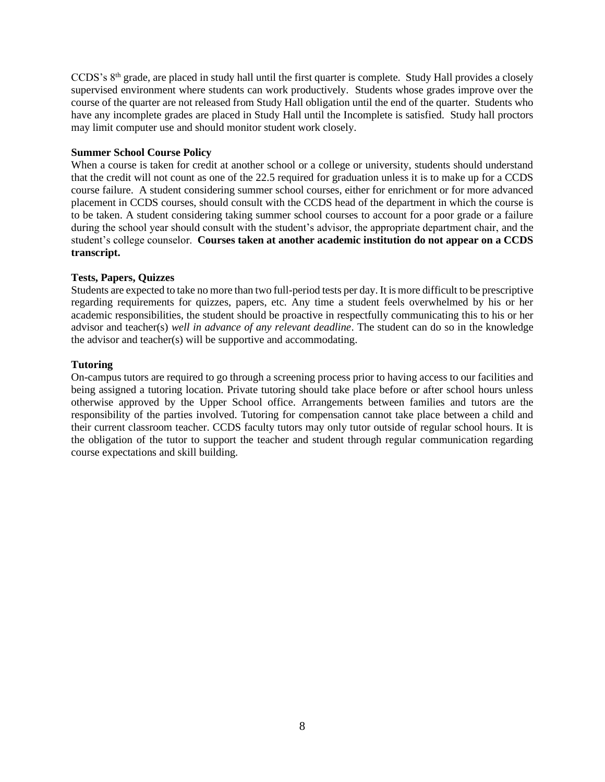CCDS's 8th grade, are placed in study hall until the first quarter is complete. Study Hall provides a closely supervised environment where students can work productively. Students whose grades improve over the course of the quarter are not released from Study Hall obligation until the end of the quarter. Students who have any incomplete grades are placed in Study Hall until the Incomplete is satisfied. Study hall proctors may limit computer use and should monitor student work closely.

## **Summer School Course Policy**

When a course is taken for credit at another school or a college or university, students should understand that the credit will not count as one of the 22.5 required for graduation unless it is to make up for a CCDS course failure. A student considering summer school courses, either for enrichment or for more advanced placement in CCDS courses, should consult with the CCDS head of the department in which the course is to be taken. A student considering taking summer school courses to account for a poor grade or a failure during the school year should consult with the student's advisor, the appropriate department chair, and the student's college counselor. **Courses taken at another academic institution do not appear on a CCDS transcript.**

## **Tests, Papers, Quizzes**

Students are expected to take no more than two full-period tests per day. It is more difficult to be prescriptive regarding requirements for quizzes, papers, etc. Any time a student feels overwhelmed by his or her academic responsibilities, the student should be proactive in respectfully communicating this to his or her advisor and teacher(s) *well in advance of any relevant deadline*. The student can do so in the knowledge the advisor and teacher(s) will be supportive and accommodating.

## **Tutoring**

On-campus tutors are required to go through a screening process prior to having access to our facilities and being assigned a tutoring location. Private tutoring should take place before or after school hours unless otherwise approved by the Upper School office. Arrangements between families and tutors are the responsibility of the parties involved. Tutoring for compensation cannot take place between a child and their current classroom teacher. CCDS faculty tutors may only tutor outside of regular school hours. It is the obligation of the tutor to support the teacher and student through regular communication regarding course expectations and skill building.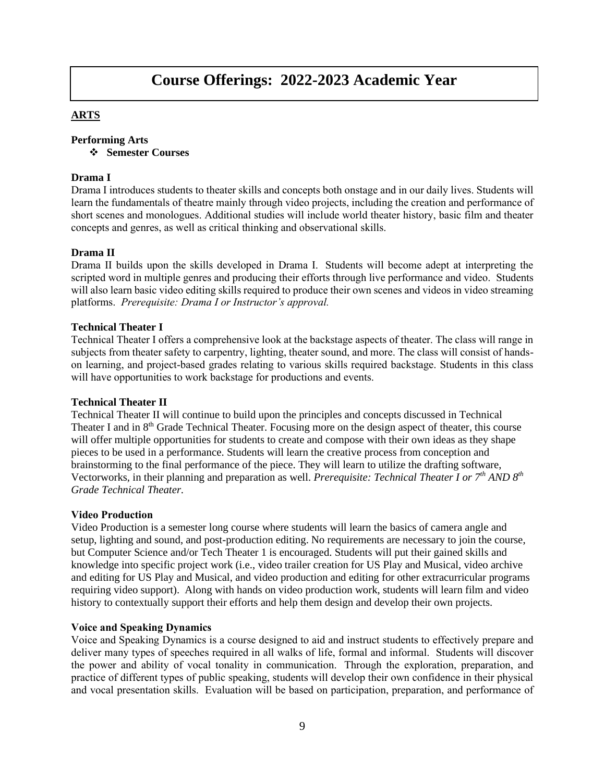# **Course Offerings: 2022-2023 Academic Year**

# **ARTS**

## **Performing Arts**

❖ **Semester Courses**

## **Drama I**

Drama I introduces students to theater skills and concepts both onstage and in our daily lives. Students will learn the fundamentals of theatre mainly through video projects, including the creation and performance of short scenes and monologues. Additional studies will include world theater history, basic film and theater concepts and genres, as well as critical thinking and observational skills.

## **Drama II**

Drama II builds upon the skills developed in Drama I. Students will become adept at interpreting the scripted word in multiple genres and producing their efforts through live performance and video. Students will also learn basic video editing skills required to produce their own scenes and videos in video streaming platforms. *Prerequisite: Drama I or Instructor's approval.*

## **Technical Theater I**

Technical Theater I offers a comprehensive look at the backstage aspects of theater. The class will range in subjects from theater safety to carpentry, lighting, theater sound, and more. The class will consist of handson learning, and project-based grades relating to various skills required backstage. Students in this class will have opportunities to work backstage for productions and events.

## **Technical Theater II**

Technical Theater II will continue to build upon the principles and concepts discussed in Technical Theater I and in 8<sup>th</sup> Grade Technical Theater. Focusing more on the design aspect of theater, this course will offer multiple opportunities for students to create and compose with their own ideas as they shape pieces to be used in a performance. Students will learn the creative process from conception and brainstorming to the final performance of the piece. They will learn to utilize the drafting software, Vectorworks, in their planning and preparation as well. *Prerequisite: Technical Theater I or 7th AND 8 th Grade Technical Theater.*

#### **Video Production**

Video Production is a semester long course where students will learn the basics of camera angle and setup, lighting and sound, and post-production editing. No requirements are necessary to join the course, but Computer Science and/or Tech Theater 1 is encouraged. Students will put their gained skills and knowledge into specific project work (i.e., video trailer creation for US Play and Musical, video archive and editing for US Play and Musical, and video production and editing for other extracurricular programs requiring video support). Along with hands on video production work, students will learn film and video history to contextually support their efforts and help them design and develop their own projects.

#### **Voice and Speaking Dynamics**

Voice and Speaking Dynamics is a course designed to aid and instruct students to effectively prepare and deliver many types of speeches required in all walks of life, formal and informal. Students will discover the power and ability of vocal tonality in communication. Through the exploration, preparation, and practice of different types of public speaking, students will develop their own confidence in their physical and vocal presentation skills. Evaluation will be based on participation, preparation, and performance of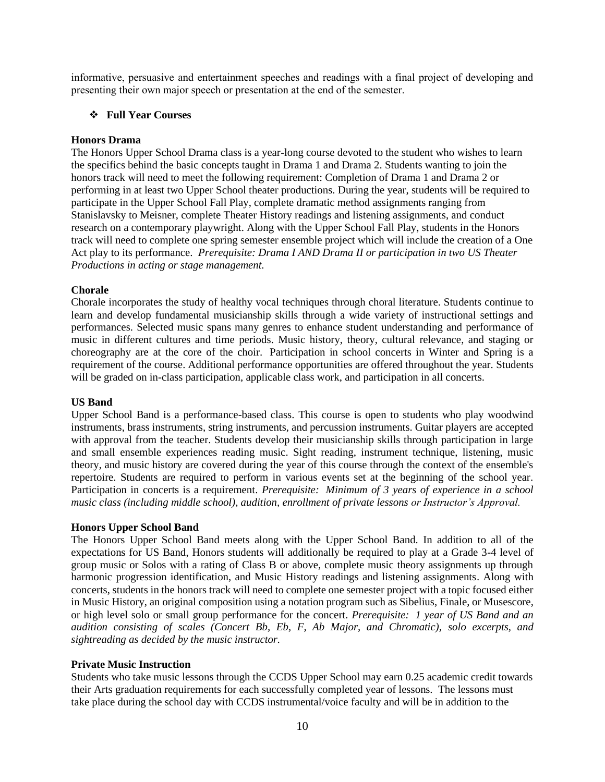informative, persuasive and entertainment speeches and readings with a final project of developing and presenting their own major speech or presentation at the end of the semester.

## ❖ **Full Year Courses**

## **Honors Drama**

The Honors Upper School Drama class is a year-long course devoted to the student who wishes to learn the specifics behind the basic concepts taught in Drama 1 and Drama 2. Students wanting to join the honors track will need to meet the following requirement: Completion of Drama 1 and Drama 2 or performing in at least two Upper School theater productions. During the year, students will be required to participate in the Upper School Fall Play, complete dramatic method assignments ranging from Stanislavsky to Meisner, complete Theater History readings and listening assignments, and conduct research on a contemporary playwright. Along with the Upper School Fall Play, students in the Honors track will need to complete one spring semester ensemble project which will include the creation of a One Act play to its performance. *Prerequisite: Drama I AND Drama II or participation in two US Theater Productions in acting or stage management.*

## **Chorale**

Chorale incorporates the study of healthy vocal techniques through choral literature. Students continue to learn and develop fundamental musicianship skills through a wide variety of instructional settings and performances. Selected music spans many genres to enhance student understanding and performance of music in different cultures and time periods. Music history, theory, cultural relevance, and staging or choreography are at the core of the choir. Participation in school concerts in Winter and Spring is a requirement of the course. Additional performance opportunities are offered throughout the year. Students will be graded on in-class participation, applicable class work, and participation in all concerts.

## **US Band**

Upper School Band is a performance-based class. This course is open to students who play woodwind instruments, brass instruments, string instruments, and percussion instruments. Guitar players are accepted with approval from the teacher. Students develop their musicianship skills through participation in large and small ensemble experiences reading music. Sight reading, instrument technique, listening, music theory, and music history are covered during the year of this course through the context of the ensemble's repertoire. Students are required to perform in various events set at the beginning of the school year. Participation in concerts is a requirement. *Prerequisite: Minimum of 3 years of experience in a school music class (including middle school), audition, enrollment of private lessons or Instructor's Approval.*

## **Honors Upper School Band**

The Honors Upper School Band meets along with the Upper School Band. In addition to all of the expectations for US Band, Honors students will additionally be required to play at a Grade 3-4 level of group music or Solos with a rating of Class B or above, complete music theory assignments up through harmonic progression identification, and Music History readings and listening assignments. Along with concerts, students in the honors track will need to complete one semester project with a topic focused either in Music History, an original composition using a notation program such as Sibelius, Finale, or Musescore, or high level solo or small group performance for the concert. *Prerequisite: 1 year of US Band and an audition consisting of scales (Concert Bb, Eb, F, Ab Major, and Chromatic), solo excerpts, and sightreading as decided by the music instructor.*

## **Private Music Instruction**

Students who take music lessons through the CCDS Upper School may earn 0.25 academic credit towards their Arts graduation requirements for each successfully completed year of lessons. The lessons must take place during the school day with CCDS instrumental/voice faculty and will be in addition to the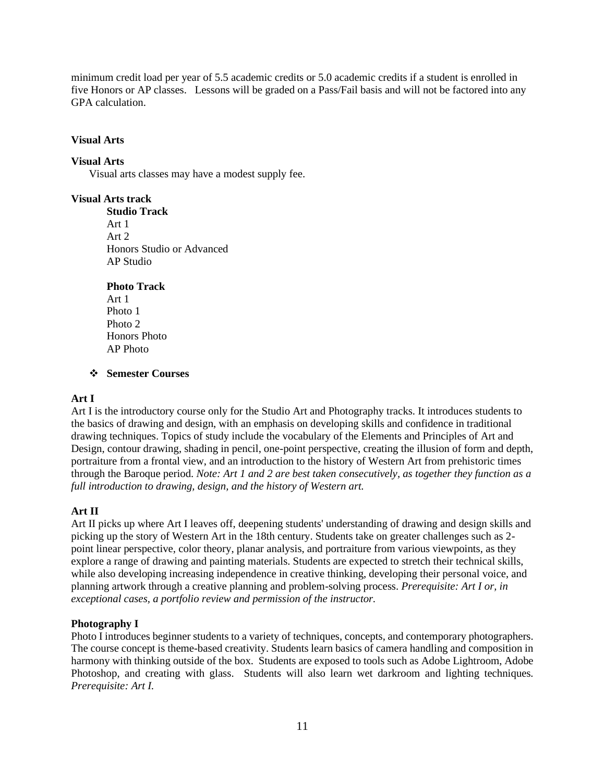minimum credit load per year of 5.5 academic credits or 5.0 academic credits if a student is enrolled in five Honors or AP classes. Lessons will be graded on a Pass/Fail basis and will not be factored into any GPA calculation.

#### **Visual Arts**

## **Visual Arts**

Visual arts classes may have a modest supply fee.

**Visual Arts track**

**Studio Track** Art 1 Art 2 Honors Studio or Advanced AP Studio

## **Photo Track**

Art 1 Photo 1 Photo 2 Honors Photo AP Photo

## ❖ **Semester Courses**

## **Art I**

Art I is the introductory course only for the Studio Art and Photography tracks. It introduces students to the basics of drawing and design, with an emphasis on developing skills and confidence in traditional drawing techniques. Topics of study include the vocabulary of the Elements and Principles of Art and Design, contour drawing, shading in pencil, one-point perspective, creating the illusion of form and depth, portraiture from a frontal view, and an introduction to the history of Western Art from prehistoric times through the Baroque period. *Note: Art 1 and 2 are best taken consecutively, as together they function as a full introduction to drawing, design, and the history of Western art.* 

## **Art II**

Art II picks up where Art I leaves off, deepening students' understanding of drawing and design skills and picking up the story of Western Art in the 18th century. Students take on greater challenges such as 2 point linear perspective, color theory, planar analysis, and portraiture from various viewpoints, as they explore a range of drawing and painting materials. Students are expected to stretch their technical skills, while also developing increasing independence in creative thinking, developing their personal voice, and planning artwork through a creative planning and problem-solving process. *Prerequisite: Art I or, in exceptional cases, a portfolio review and permission of the instructor.*

## **Photography I**

Photo I introduces beginner students to a variety of techniques, concepts, and contemporary photographers. The course concept is theme-based creativity. Students learn basics of camera handling and composition in harmony with thinking outside of the box. Students are exposed to tools such as Adobe Lightroom, Adobe Photoshop, and creating with glass. Students will also learn wet darkroom and lighting techniques*. Prerequisite: Art I.*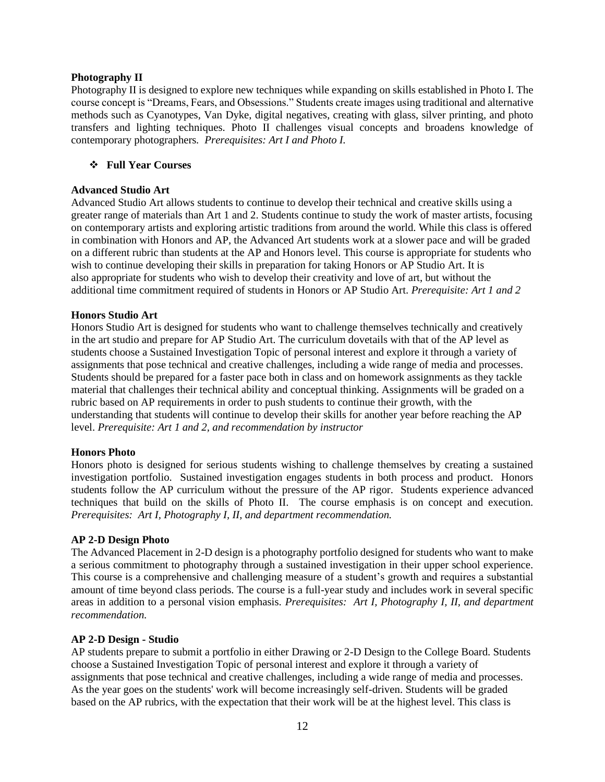#### **Photography II**

Photography II is designed to explore new techniques while expanding on skills established in Photo I. The course concept is "Dreams, Fears, and Obsessions." Students create images using traditional and alternative methods such as Cyanotypes, Van Dyke, digital negatives, creating with glass, silver printing, and photo transfers and lighting techniques. Photo II challenges visual concepts and broadens knowledge of contemporary photographers*. Prerequisites: Art I and Photo I.* 

## ❖ **Full Year Courses**

## **Advanced Studio Art**

Advanced Studio Art allows students to continue to develop their technical and creative skills using a greater range of materials than Art 1 and 2. Students continue to study the work of master artists, focusing on contemporary artists and exploring artistic traditions from around the world. While this class is offered in combination with Honors and AP, the Advanced Art students work at a slower pace and will be graded on a different rubric than students at the AP and Honors level. This course is appropriate for students who wish to continue developing their skills in preparation for taking Honors or AP Studio Art. It is also appropriate for students who wish to develop their creativity and love of art, but without the additional time commitment required of students in Honors or AP Studio Art. *Prerequisite: Art 1 and 2*

## **Honors Studio Art**

Honors Studio Art is designed for students who want to challenge themselves technically and creatively in the art studio and prepare for AP Studio Art. The curriculum dovetails with that of the AP level as students choose a Sustained Investigation Topic of personal interest and explore it through a variety of assignments that pose technical and creative challenges, including a wide range of media and processes. Students should be prepared for a faster pace both in class and on homework assignments as they tackle material that challenges their technical ability and conceptual thinking. Assignments will be graded on a rubric based on AP requirements in order to push students to continue their growth, with the understanding that students will continue to develop their skills for another year before reaching the AP level. *Prerequisite: Art 1 and 2, and recommendation by instructor*

#### **Honors Photo**

Honors photo is designed for serious students wishing to challenge themselves by creating a sustained investigation portfolio. Sustained investigation engages students in both process and product. Honors students follow the AP curriculum without the pressure of the AP rigor. Students experience advanced techniques that build on the skills of Photo II. The course emphasis is on concept and execution. *Prerequisites: Art I, Photography I, II, and department recommendation.* 

## **AP 2-D Design Photo**

The Advanced Placement in 2-D design is a photography portfolio designed for students who want to make a serious commitment to photography through a sustained investigation in their upper school experience. This course is a comprehensive and challenging measure of a student's growth and requires a substantial amount of time beyond class periods. The course is a full-year study and includes work in several specific areas in addition to a personal vision emphasis. *Prerequisites: Art I, Photography I, II, and department recommendation.* 

#### **AP 2-D Design - Studio**

AP students prepare to submit a portfolio in either Drawing or 2-D Design to the College Board. Students choose a Sustained Investigation Topic of personal interest and explore it through a variety of assignments that pose technical and creative challenges, including a wide range of media and processes. As the year goes on the students' work will become increasingly self-driven. Students will be graded based on the AP rubrics, with the expectation that their work will be at the highest level. This class is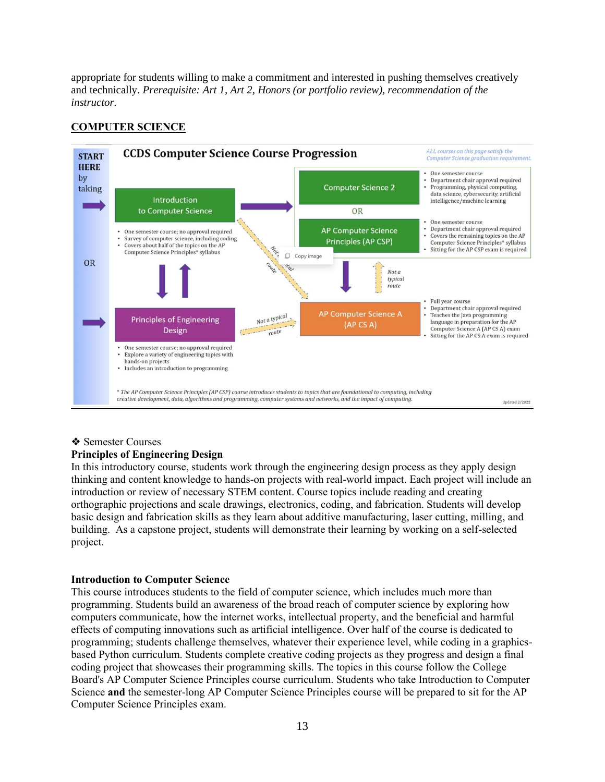appropriate for students willing to make a commitment and interested in pushing themselves creatively and technically. *Prerequisite: Art 1, Art 2, Honors (or portfolio review), recommendation of the instructor.*

# **COMPUTER SCIENCE**



#### ❖ Semester Courses

## **Principles of Engineering Design**

In this introductory course, students work through the engineering design process as they apply design thinking and content knowledge to hands-on projects with real-world impact. Each project will include an introduction or review of necessary STEM content. Course topics include reading and creating orthographic projections and scale drawings, electronics, coding, and fabrication. Students will develop basic design and fabrication skills as they learn about additive manufacturing, laser cutting, milling, and building. As a capstone project, students will demonstrate their learning by working on a self-selected project.

## **Introduction to Computer Science**

This course introduces students to the field of computer science, which includes much more than programming. Students build an awareness of the broad reach of computer science by exploring how computers communicate, how the internet works, intellectual property, and the beneficial and harmful effects of computing innovations such as artificial intelligence. Over half of the course is dedicated to programming; students challenge themselves, whatever their experience level, while coding in a graphicsbased Python curriculum. Students complete creative coding projects as they progress and design a final coding project that showcases their programming skills. The topics in this course follow the College Board's AP Computer Science Principles course curriculum. Students who take Introduction to Computer Science **and** the semester-long AP Computer Science Principles course will be prepared to sit for the AP Computer Science Principles exam.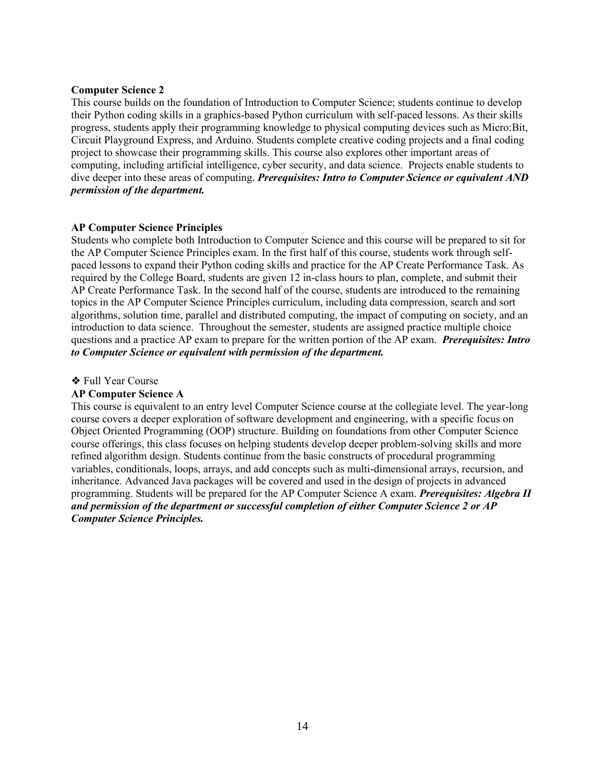## **Computer Science 2**

This course builds on the foundation of Introduction to Computer Science; students continue to develop their Python coding skills in a graphics-based Python curriculum with self-paced lessons. As their skills progress, students apply their programming knowledge to physical computing devices such as Micro:Bit, Circuit Playground Express, and Arduino. Students complete creative coding projects and a final coding project to showcase their programming skills. This course also explores other important areas of computing, including artificial intelligence, cyber security, and data science. Projects enable students to dive deeper into these areas of computing. *Prerequisites: Intro to Computer Science or equivalent AND permission of the department.* 

## **AP Computer Science Principles**

Students who complete both Introduction to Computer Science and this course will be prepared to sit for the AP Computer Science Principles exam. In the first half of this course, students work through selfpaced lessons to expand their Python coding skills and practice for the AP Create Performance Task. As required by the College Board, students are given 12 in-class hours to plan, complete, and submit their AP Create Performance Task. In the second half of the course, students are introduced to the remaining topics in the AP Computer Science Principles curriculum, including data compression, search and sort algorithms, solution time, parallel and distributed computing, the impact of computing on society, and an introduction to data science. Throughout the semester, students are assigned practice multiple choice questions and a practice AP exam to prepare for the written portion of the AP exam. *Prerequisites: Intro to Computer Science or equivalent with permission of the department.* 

## ❖ Full Year Course

## **AP Computer Science A**

This course is equivalent to an entry level Computer Science course at the collegiate level. The year-long course covers a deeper exploration of software development and engineering, with a specific focus on Object Oriented Programming (OOP) structure. Building on foundations from other Computer Science course offerings, this class focuses on helping students develop deeper problem-solving skills and more refined algorithm design. Students continue from the basic constructs of procedural programming variables, conditionals, loops, arrays, and add concepts such as multi-dimensional arrays, recursion, and inheritance. Advanced Java packages will be covered and used in the design of projects in advanced programming. Students will be prepared for the AP Computer Science A exam. *Prerequisites: Algebra II and permission of the department or successful completion of either Computer Science 2 or AP Computer Science Principles.*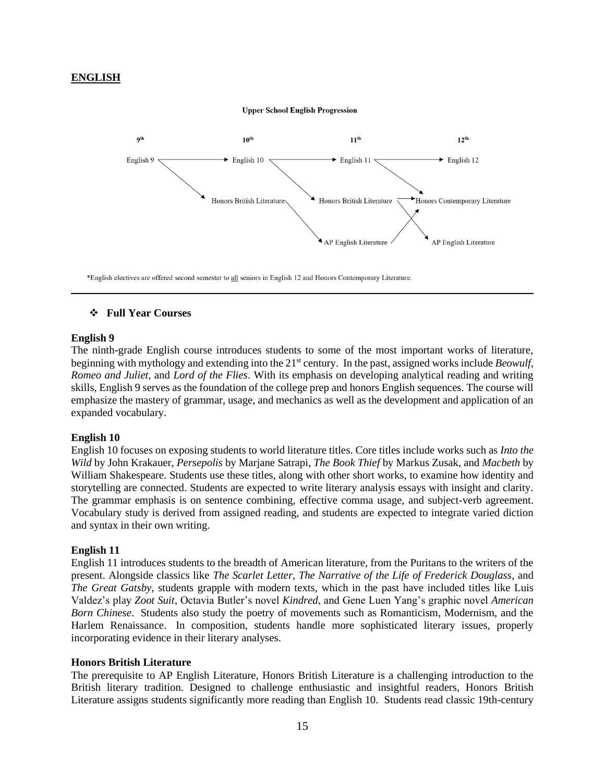## **ENGLISH**



\*English electives are offered second semester to all seniors in English 12 and Honors Contemporary Literature.

## ❖ **Full Year Courses**

#### **English 9**

The ninth-grade English course introduces students to some of the most important works of literature, beginning with mythology and extending into the 21<sup>st</sup> century. In the past, assigned works include *Beowulf*, *Romeo and Juliet,* and *Lord of the Flies*. With its emphasis on developing analytical reading and writing skills, English 9 serves as the foundation of the college prep and honors English sequences. The course will emphasize the mastery of grammar, usage, and mechanics as well as the development and application of an expanded vocabulary.

#### **English 10**

English 10 focuses on exposing students to world literature titles. Core titles include works such as *Into the Wild* by John Krakauer, *Persepolis* by Marjane Satrapi, *The Book Thief* by Markus Zusak, and *Macbeth* by William Shakespeare. Students use these titles, along with other short works, to examine how identity and storytelling are connected. Students are expected to write literary analysis essays with insight and clarity. The grammar emphasis is on sentence combining, effective comma usage, and subject-verb agreement. Vocabulary study is derived from assigned reading, and students are expected to integrate varied diction and syntax in their own writing.

#### **English 11**

English 11 introduces students to the breadth of American literature, from the Puritans to the writers of the present. Alongside classics like *The Scarlet Letter*, *The Narrative of the Life of Frederick Douglass*, and *The Great Gatsby*, students grapple with modern texts, which in the past have included titles like Luis Valdez's play *Zoot Suit*, Octavia Butler's novel *Kindred*, and Gene Luen Yang's graphic novel *American Born Chinese*. Students also study the poetry of movements such as Romanticism, Modernism, and the Harlem Renaissance. In composition, students handle more sophisticated literary issues, properly incorporating evidence in their literary analyses.

#### **Honors British Literature**

The prerequisite to AP English Literature, Honors British Literature is a challenging introduction to the British literary tradition. Designed to challenge enthusiastic and insightful readers, Honors British Literature assigns students significantly more reading than English 10. Students read classic 19th-century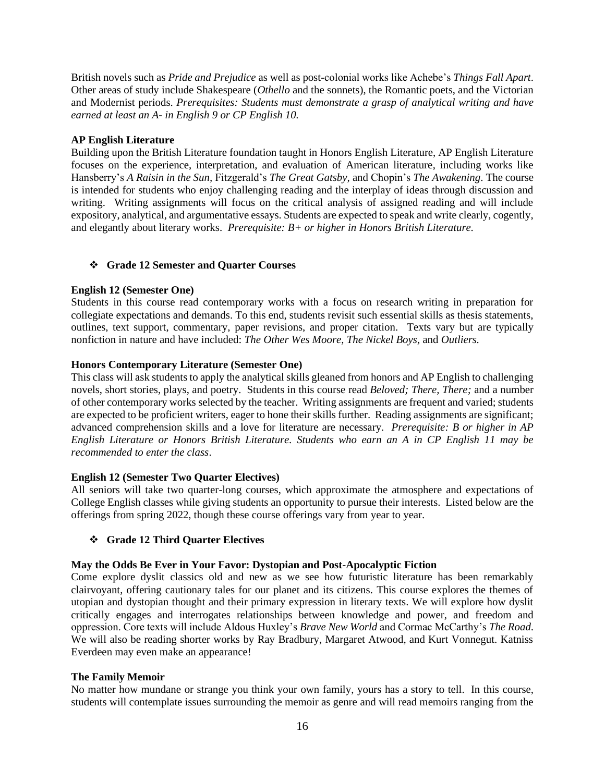British novels such as *Pride and Prejudice* as well as post-colonial works like Achebe's *Things Fall Apart*. Other areas of study include Shakespeare (*Othello* and the sonnets), the Romantic poets, and the Victorian and Modernist periods. *Prerequisites: Students must demonstrate a grasp of analytical writing and have earned at least an A- in English 9 or CP English 10.*

## **AP English Literature**

Building upon the British Literature foundation taught in Honors English Literature, AP English Literature focuses on the experience, interpretation, and evaluation of American literature, including works like Hansberry's *A Raisin in the Sun,* Fitzgerald's *The Great Gatsby,* and Chopin's *The Awakening*. The course is intended for students who enjoy challenging reading and the interplay of ideas through discussion and writing. Writing assignments will focus on the critical analysis of assigned reading and will include expository, analytical, and argumentative essays. Students are expected to speak and write clearly, cogently, and elegantly about literary works. *Prerequisite: B+ or higher in Honors British Literature.* 

# ❖ **Grade 12 Semester and Quarter Courses**

## **English 12 (Semester One)**

Students in this course read contemporary works with a focus on research writing in preparation for collegiate expectations and demands. To this end, students revisit such essential skills as thesis statements, outlines, text support, commentary, paper revisions, and proper citation. Texts vary but are typically nonfiction in nature and have included: *The Other Wes Moore, The Nickel Boys,* and *Outliers.* 

## **Honors Contemporary Literature (Semester One)**

This class will ask students to apply the analytical skills gleaned from honors and AP English to challenging novels, short stories, plays, and poetry. Students in this course read *Beloved; There, There;* and a number of other contemporary works selected by the teacher. Writing assignments are frequent and varied; students are expected to be proficient writers, eager to hone their skills further. Reading assignments are significant; advanced comprehension skills and a love for literature are necessary. *Prerequisite: B or higher in AP English Literature or Honors British Literature. Students who earn an A in CP English 11 may be recommended to enter the class*.

## **English 12 (Semester Two Quarter Electives)**

All seniors will take two quarter-long courses, which approximate the atmosphere and expectations of College English classes while giving students an opportunity to pursue their interests. Listed below are the offerings from spring 2022, though these course offerings vary from year to year.

# ❖ **Grade 12 Third Quarter Electives**

## **May the Odds Be Ever in Your Favor: Dystopian and Post-Apocalyptic Fiction**

Come explore dyslit classics old and new as we see how futuristic literature has been remarkably clairvoyant, offering cautionary tales for our planet and its citizens. This course explores the themes of utopian and dystopian thought and their primary expression in literary texts. We will explore how dyslit critically engages and interrogates relationships between knowledge and power, and freedom and oppression. Core texts will include Aldous Huxley's *Brave New World* and Cormac McCarthy's *The Road*. We will also be reading shorter works by Ray Bradbury, Margaret Atwood, and Kurt Vonnegut. Katniss Everdeen may even make an appearance!

## **The Family Memoir**

No matter how mundane or strange you think your own family, yours has a story to tell. In this course, students will contemplate issues surrounding the memoir as genre and will read memoirs ranging from the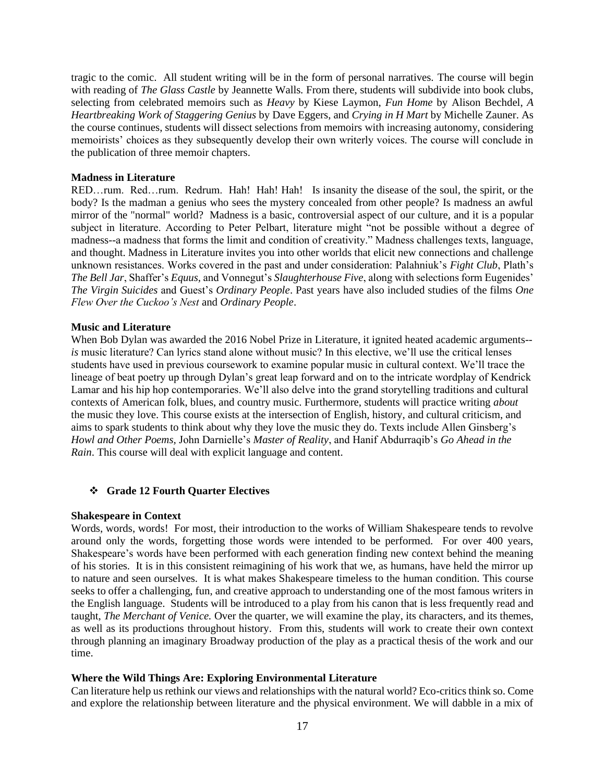tragic to the comic. All student writing will be in the form of personal narratives. The course will begin with reading of *The Glass Castle* by Jeannette Walls. From there, students will subdivide into book clubs, selecting from celebrated memoirs such as *Heavy* by Kiese Laymon, *Fun Home* by Alison Bechdel, *A Heartbreaking Work of Staggering Genius* by Dave Eggers, and *Crying in H Mart* by Michelle Zauner. As the course continues, students will dissect selections from memoirs with increasing autonomy, considering memoirists' choices as they subsequently develop their own writerly voices. The course will conclude in the publication of three memoir chapters.

## **Madness in Literature**

RED…rum. Red…rum. Redrum. Hah! Hah! Hah! Is insanity the disease of the soul, the spirit, or the body? Is the madman a genius who sees the mystery concealed from other people? Is madness an awful mirror of the "normal" world? Madness is a basic, controversial aspect of our culture, and it is a popular subject in literature. According to Peter Pelbart, literature might "not be possible without a degree of madness--a madness that forms the limit and condition of creativity." Madness challenges texts, language, and thought. Madness in Literature invites you into other worlds that elicit new connections and challenge unknown resistances. Works covered in the past and under consideration: Palahniuk's *Fight Club*, Plath's *The Bell Jar*, Shaffer's *Equus,* and Vonnegut's *Slaughterhouse Five*, along with selections form Eugenides' *The Virgin Suicides* and Guest's *Ordinary People*. Past years have also included studies of the films *One Flew Over the Cuckoo's Nest* and *Ordinary People*.

## **Music and Literature**

When Bob Dylan was awarded the 2016 Nobel Prize in Literature, it ignited heated academic arguments-*is* music literature? Can lyrics stand alone without music? In this elective, we'll use the critical lenses students have used in previous coursework to examine popular music in cultural context. We'll trace the lineage of beat poetry up through Dylan's great leap forward and on to the intricate wordplay of Kendrick Lamar and his hip hop contemporaries. We'll also delve into the grand storytelling traditions and cultural contexts of American folk, blues, and country music. Furthermore, students will practice writing *about*  the music they love. This course exists at the intersection of English, history, and cultural criticism, and aims to spark students to think about why they love the music they do. Texts include Allen Ginsberg's *Howl and Other Poems,* John Darnielle's *Master of Reality*, and Hanif Abdurraqib's *Go Ahead in the Rain*. This course will deal with explicit language and content.

## ❖ **Grade 12 Fourth Quarter Electives**

## **Shakespeare in Context**

Words, words, words! For most, their introduction to the works of William Shakespeare tends to revolve around only the words, forgetting those words were intended to be performed. For over 400 years, Shakespeare's words have been performed with each generation finding new context behind the meaning of his stories. It is in this consistent reimagining of his work that we, as humans, have held the mirror up to nature and seen ourselves. It is what makes Shakespeare timeless to the human condition. This course seeks to offer a challenging, fun, and creative approach to understanding one of the most famous writers in the English language. Students will be introduced to a play from his canon that is less frequently read and taught, *The Merchant of Venice.* Over the quarter, we will examine the play, its characters, and its themes, as well as its productions throughout history. From this, students will work to create their own context through planning an imaginary Broadway production of the play as a practical thesis of the work and our time.

## **Where the Wild Things Are: Exploring Environmental Literature**

Can literature help us rethink our views and relationships with the natural world? Eco-critics think so. Come and explore the relationship between literature and the physical environment. We will dabble in a mix of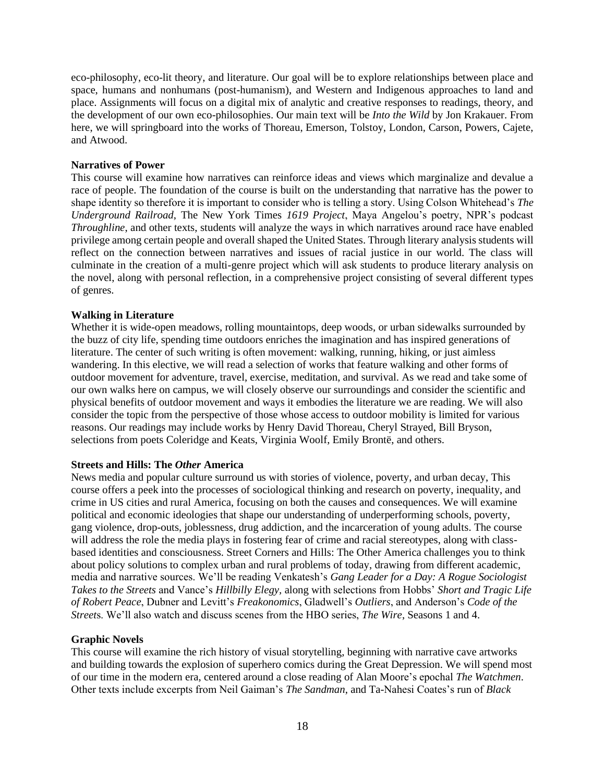eco-philosophy, eco-lit theory, and literature. Our goal will be to explore relationships between place and space, humans and nonhumans (post-humanism), and Western and Indigenous approaches to land and place. Assignments will focus on a digital mix of analytic and creative responses to readings, theory, and the development of our own eco-philosophies. Our main text will be *Into the Wild* by Jon Krakauer. From here, we will springboard into the works of Thoreau, Emerson, Tolstoy, London, Carson, Powers, Cajete, and Atwood.

#### **Narratives of Power**

This course will examine how narratives can reinforce ideas and views which marginalize and devalue a race of people. The foundation of the course is built on the understanding that narrative has the power to shape identity so therefore it is important to consider who is telling a story. Using Colson Whitehead's *The Underground Railroad*, The New York Times *1619 Project*, Maya Angelou's poetry, NPR's podcast *Throughline*, and other texts, students will analyze the ways in which narratives around race have enabled privilege among certain people and overall shaped the United States. Through literary analysis students will reflect on the connection between narratives and issues of racial justice in our world. The class will culminate in the creation of a multi-genre project which will ask students to produce literary analysis on the novel, along with personal reflection, in a comprehensive project consisting of several different types of genres.

## **Walking in Literature**

Whether it is wide-open meadows, rolling mountaintops, deep woods, or urban sidewalks surrounded by the buzz of city life, spending time outdoors enriches the imagination and has inspired generations of literature. The center of such writing is often movement: walking, running, hiking, or just aimless wandering. In this elective, we will read a selection of works that feature walking and other forms of outdoor movement for adventure, travel, exercise, meditation, and survival. As we read and take some of our own walks here on campus, we will closely observe our surroundings and consider the scientific and physical benefits of outdoor movement and ways it embodies the literature we are reading. We will also consider the topic from the perspective of those whose access to outdoor mobility is limited for various reasons. Our readings may include works by Henry David Thoreau, Cheryl Strayed, Bill Bryson, selections from poets Coleridge and Keats, Virginia Woolf, Emily Brontë, and others.

#### **Streets and Hills: The** *Other* **America**

News media and popular culture surround us with stories of violence, poverty, and urban decay, This course offers a peek into the processes of sociological thinking and research on poverty, inequality, and crime in US cities and rural America, focusing on both the causes and consequences. We will examine political and economic ideologies that shape our understanding of underperforming schools, poverty, gang violence, drop-outs, joblessness, drug addiction, and the incarceration of young adults. The course will address the role the media plays in fostering fear of crime and racial stereotypes, along with classbased identities and consciousness. Street Corners and Hills: The Other America challenges you to think about policy solutions to complex urban and rural problems of today, drawing from different academic, media and narrative sources. We'll be reading Venkatesh's *Gang Leader for a Day: A Rogue Sociologist Takes to the Streets* and Vance's *Hillbilly Elegy,* along with selections from Hobbs' *Short and Tragic Life of Robert Peace*, Dubner and Levitt's *Freakonomics*, Gladwell's *Outliers*, and Anderson's *Code of the Street*s. We'll also watch and discuss scenes from the HBO series, *The Wire*, Seasons 1 and 4.

#### **Graphic Novels**

This course will examine the rich history of visual storytelling, beginning with narrative cave artworks and building towards the explosion of superhero comics during the Great Depression. We will spend most of our time in the modern era, centered around a close reading of Alan Moore's epochal *The Watchmen*. Other texts include excerpts from Neil Gaiman's *The Sandman*, and Ta-Nahesi Coates's run of *Black*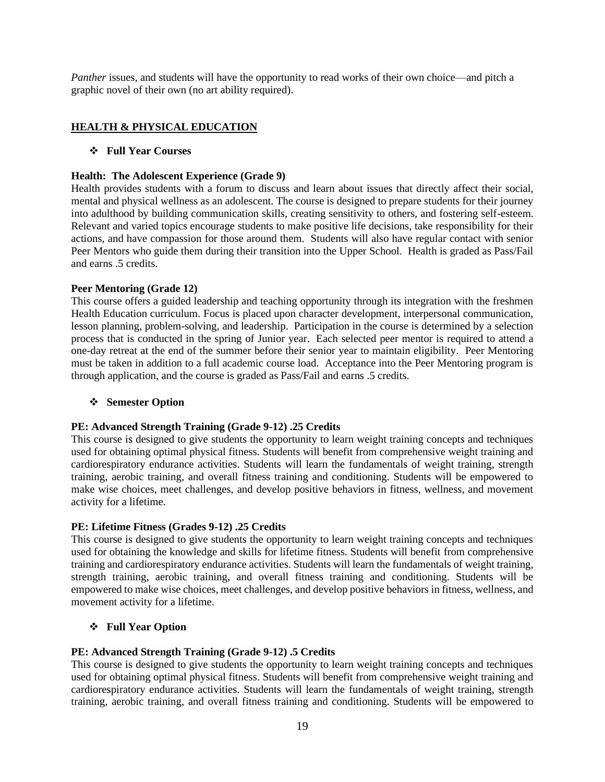*Panther* issues, and students will have the opportunity to read works of their own choice—and pitch a graphic novel of their own (no art ability required).

# **HEALTH & PHYSICAL EDUCATION**

## ❖ **Full Year Courses**

## **Health: The Adolescent Experience (Grade 9)**

Health provides students with a forum to discuss and learn about issues that directly affect their social, mental and physical wellness as an adolescent. The course is designed to prepare students for their journey into adulthood by building communication skills, creating sensitivity to others, and fostering self-esteem. Relevant and varied topics encourage students to make positive life decisions, take responsibility for their actions, and have compassion for those around them. Students will also have regular contact with senior Peer Mentors who guide them during their transition into the Upper School. Health is graded as Pass/Fail and earns .5 credits.

## **Peer Mentoring (Grade 12)**

This course offers a guided leadership and teaching opportunity through its integration with the freshmen Health Education curriculum. Focus is placed upon character development, interpersonal communication, lesson planning, problem-solving, and leadership. Participation in the course is determined by a selection process that is conducted in the spring of Junior year. Each selected peer mentor is required to attend a one-day retreat at the end of the summer before their senior year to maintain eligibility. Peer Mentoring must be taken in addition to a full academic course load. Acceptance into the Peer Mentoring program is through application, and the course is graded as Pass/Fail and earns .5 credits.

#### ❖ **Semester Option**

## **PE: Advanced Strength Training (Grade 9-12) .25 Credits**

This course is designed to give students the opportunity to learn weight training concepts and techniques used for obtaining optimal physical fitness. Students will benefit from comprehensive weight training and cardiorespiratory endurance activities. Students will learn the fundamentals of weight training, strength training, aerobic training, and overall fitness training and conditioning. Students will be empowered to make wise choices, meet challenges, and develop positive behaviors in fitness, wellness, and movement activity for a lifetime.

## **PE: Lifetime Fitness (Grades 9-12) .25 Credits**

This course is designed to give students the opportunity to learn weight training concepts and techniques used for obtaining the knowledge and skills for lifetime fitness. Students will benefit from comprehensive training and cardiorespiratory endurance activities. Students will learn the fundamentals of weight training, strength training, aerobic training, and overall fitness training and conditioning. Students will be empowered to make wise choices, meet challenges, and develop positive behaviors in fitness, wellness, and movement activity for a lifetime.

## ❖ **Full Year Option**

## **PE: Advanced Strength Training (Grade 9-12) .5 Credits**

This course is designed to give students the opportunity to learn weight training concepts and techniques used for obtaining optimal physical fitness. Students will benefit from comprehensive weight training and cardiorespiratory endurance activities. Students will learn the fundamentals of weight training, strength training, aerobic training, and overall fitness training and conditioning. Students will be empowered to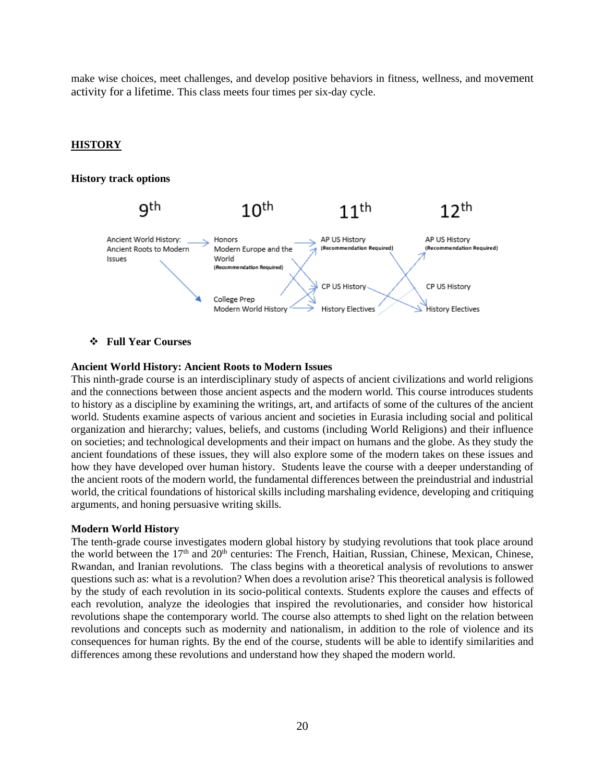make wise choices, meet challenges, and develop positive behaviors in fitness, wellness, and movement activity for a lifetime. This class meets four times per six-day cycle.

## **HISTORY**

#### **History track options**



#### ❖ **Full Year Courses**

#### **Ancient World History: Ancient Roots to Modern Issues**

This ninth-grade course is an interdisciplinary study of aspects of ancient civilizations and world religions and the connections between those ancient aspects and the modern world. This course introduces students to history as a discipline by examining the writings, art, and artifacts of some of the cultures of the ancient world. Students examine aspects of various ancient and societies in Eurasia including social and political organization and hierarchy; values, beliefs, and customs (including World Religions) and their influence on societies; and technological developments and their impact on humans and the globe. As they study the ancient foundations of these issues, they will also explore some of the modern takes on these issues and how they have developed over human history. Students leave the course with a deeper understanding of the ancient roots of the modern world, the fundamental differences between the preindustrial and industrial world, the critical foundations of historical skills including marshaling evidence, developing and critiquing arguments, and honing persuasive writing skills.

#### **Modern World History**

The tenth-grade course investigates modern global history by studying revolutions that took place around the world between the 17<sup>th</sup> and 20<sup>th</sup> centuries: The French, Haitian, Russian, Chinese, Mexican, Chinese, Rwandan, and Iranian revolutions. The class begins with a theoretical analysis of revolutions to answer questions such as: what is a revolution? When does a revolution arise? This theoretical analysis is followed by the study of each revolution in its socio-political contexts. Students explore the causes and effects of each revolution, analyze the ideologies that inspired the revolutionaries, and consider how historical revolutions shape the contemporary world. The course also attempts to shed light on the relation between revolutions and concepts such as modernity and nationalism, in addition to the role of violence and its consequences for human rights. By the end of the course, students will be able to identify similarities and differences among these revolutions and understand how they shaped the modern world.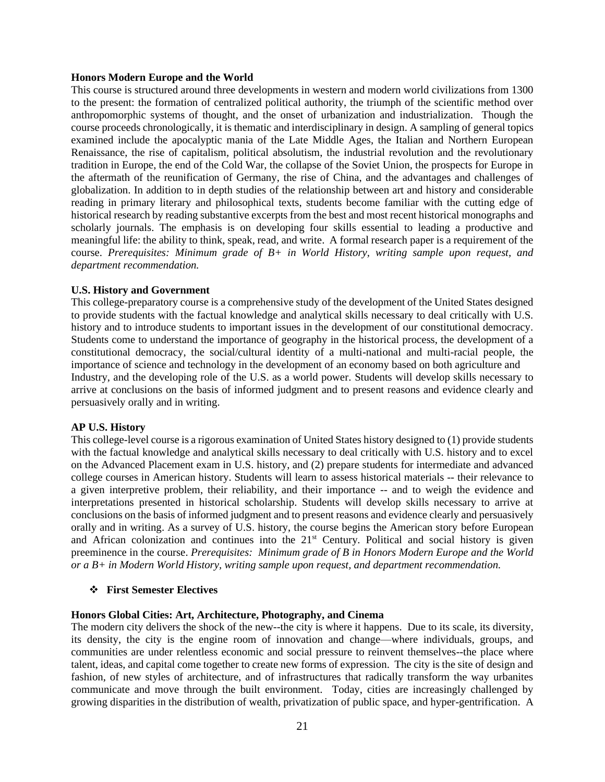#### **Honors Modern Europe and the World**

This course is structured around three developments in western and modern world civilizations from 1300 to the present: the formation of centralized political authority, the triumph of the scientific method over anthropomorphic systems of thought, and the onset of urbanization and industrialization. Though the course proceeds chronologically, it is thematic and interdisciplinary in design. A sampling of general topics examined include the apocalyptic mania of the Late Middle Ages, the Italian and Northern European Renaissance, the rise of capitalism, political absolutism, the industrial revolution and the revolutionary tradition in Europe, the end of the Cold War, the collapse of the Soviet Union, the prospects for Europe in the aftermath of the reunification of Germany, the rise of China, and the advantages and challenges of globalization. In addition to in depth studies of the relationship between art and history and considerable reading in primary literary and philosophical texts, students become familiar with the cutting edge of historical research by reading substantive excerpts from the best and most recent historical monographs and scholarly journals. The emphasis is on developing four skills essential to leading a productive and meaningful life: the ability to think, speak, read, and write. A formal research paper is a requirement of the course. *Prerequisites: Minimum grade of B+ in World History, writing sample upon request, and department recommendation.*

#### **U.S. History and Government**

This college-preparatory course is a comprehensive study of the development of the United States designed to provide students with the factual knowledge and analytical skills necessary to deal critically with U.S. history and to introduce students to important issues in the development of our constitutional democracy. Students come to understand the importance of geography in the historical process, the development of a constitutional democracy, the social/cultural identity of a multi-national and multi-racial people, the importance of science and technology in the development of an economy based on both agriculture and Industry, and the developing role of the U.S. as a world power. Students will develop skills necessary to arrive at conclusions on the basis of informed judgment and to present reasons and evidence clearly and persuasively orally and in writing.

#### **AP U.S. History**

This college-level course is a rigorous examination of United States history designed to (1) provide students with the factual knowledge and analytical skills necessary to deal critically with U.S. history and to excel on the Advanced Placement exam in U.S. history, and (2) prepare students for intermediate and advanced college courses in American history. Students will learn to assess historical materials -- their relevance to a given interpretive problem, their reliability, and their importance -- and to weigh the evidence and interpretations presented in historical scholarship. Students will develop skills necessary to arrive at conclusions on the basis of informed judgment and to present reasons and evidence clearly and persuasively orally and in writing. As a survey of U.S. history, the course begins the American story before European and African colonization and continues into the 21st Century. Political and social history is given preeminence in the course. *Prerequisites: Minimum grade of B in Honors Modern Europe and the World or a B+ in Modern World History, writing sample upon request, and department recommendation.*

#### ❖ **First Semester Electives**

#### **Honors Global Cities: Art, Architecture, Photography, and Cinema**

The modern city delivers the shock of the new--the city is where it happens. Due to its scale, its diversity, its density, the city is the engine room of innovation and change—where individuals, groups, and communities are under relentless economic and social pressure to reinvent themselves--the place where talent, ideas, and capital come together to create new forms of expression. The city is the site of design and fashion, of new styles of architecture, and of infrastructures that radically transform the way urbanites communicate and move through the built environment. Today, cities are increasingly challenged by growing disparities in the distribution of wealth, privatization of public space, and hyper-gentrification. A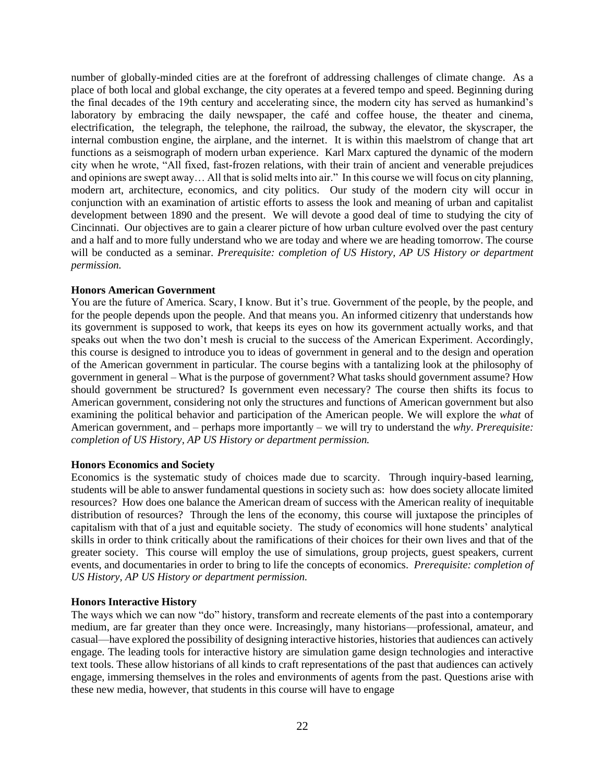number of globally-minded cities are at the forefront of addressing challenges of climate change. As a place of both local and global exchange, the city operates at a fevered tempo and speed. Beginning during the final decades of the 19th century and accelerating since, the modern city has served as humankind's laboratory by embracing the daily newspaper, the café and coffee house, the theater and cinema, electrification, the telegraph, the telephone, the railroad, the subway, the elevator, the skyscraper, the internal combustion engine, the airplane, and the internet. It is within this maelstrom of change that art functions as a seismograph of modern urban experience. Karl Marx captured the dynamic of the modern city when he wrote, "All fixed, fast-frozen relations, with their train of ancient and venerable prejudices and opinions are swept away… All that is solid melts into air." In this course we will focus on city planning, modern art, architecture, economics, and city politics. Our study of the modern city will occur in conjunction with an examination of artistic efforts to assess the look and meaning of urban and capitalist development between 1890 and the present. We will devote a good deal of time to studying the city of Cincinnati. Our objectives are to gain a clearer picture of how urban culture evolved over the past century and a half and to more fully understand who we are today and where we are heading tomorrow. The course will be conducted as a seminar. *Prerequisite: completion of US History, AP US History or department permission.* 

## **Honors American Government**

You are the future of America. Scary, I know. But it's true. Government of the people, by the people, and for the people depends upon the people. And that means you. An informed citizenry that understands how its government is supposed to work, that keeps its eyes on how its government actually works, and that speaks out when the two don't mesh is crucial to the success of the American Experiment. Accordingly, this course is designed to introduce you to ideas of government in general and to the design and operation of the American government in particular. The course begins with a tantalizing look at the philosophy of government in general – What is the purpose of government? What tasks should government assume? How should government be structured? Is government even necessary? The course then shifts its focus to American government, considering not only the structures and functions of American government but also examining the political behavior and participation of the American people. We will explore the *what* of American government, and – perhaps more importantly – we will try to understand the *why*. *Prerequisite: completion of US History, AP US History or department permission.* 

#### **Honors Economics and Society**

Economics is the systematic study of choices made due to scarcity. Through inquiry-based learning, students will be able to answer fundamental questions in society such as: how does society allocate limited resources? How does one balance the American dream of success with the American reality of inequitable distribution of resources? Through the lens of the economy, this course will juxtapose the principles of capitalism with that of a just and equitable society. The study of economics will hone students' analytical skills in order to think critically about the ramifications of their choices for their own lives and that of the greater society. This course will employ the use of simulations, group projects, guest speakers, current events, and documentaries in order to bring to life the concepts of economics. *Prerequisite: completion of US History, AP US History or department permission.* 

#### **Honors Interactive History**

The ways which we can now "do" history, transform and recreate elements of the past into a contemporary medium, are far greater than they once were. Increasingly, many historians—professional, amateur, and casual—have explored the possibility of designing interactive histories, histories that audiences can actively engage. The leading tools for interactive history are simulation game design technologies and interactive text tools. These allow historians of all kinds to craft representations of the past that audiences can actively engage, immersing themselves in the roles and environments of agents from the past. Questions arise with these new media, however, that students in this course will have to engage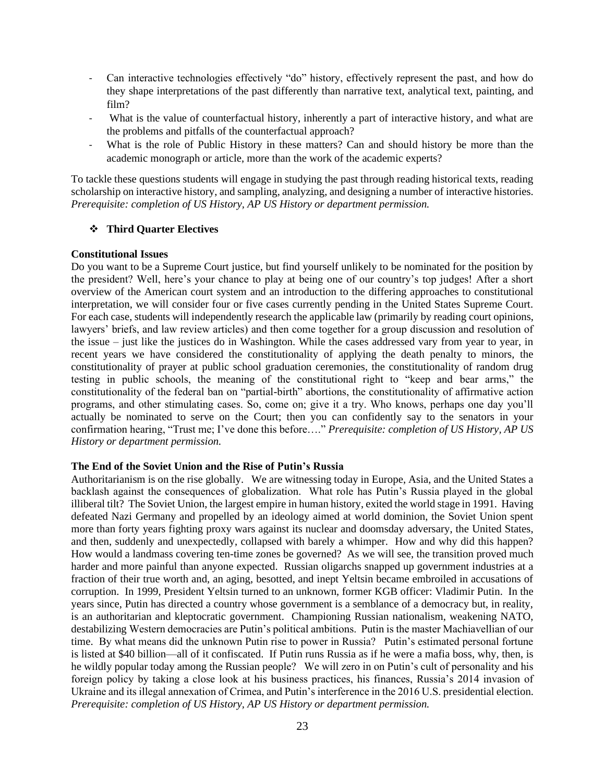- Can interactive technologies effectively "do" history, effectively represent the past, and how do they shape interpretations of the past differently than narrative text, analytical text, painting, and film?
- What is the value of counterfactual history, inherently a part of interactive history, and what are the problems and pitfalls of the counterfactual approach?
- What is the role of Public History in these matters? Can and should history be more than the academic monograph or article, more than the work of the academic experts?

To tackle these questions students will engage in studying the past through reading historical texts, reading scholarship on interactive history, and sampling, analyzing, and designing a number of interactive histories. *Prerequisite: completion of US History, AP US History or department permission.* 

## ❖ **Third Quarter Electives**

#### **Constitutional Issues**

Do you want to be a Supreme Court justice, but find yourself unlikely to be nominated for the position by the president? Well, here's your chance to play at being one of our country's top judges! After a short overview of the American court system and an introduction to the differing approaches to constitutional interpretation, we will consider four or five cases currently pending in the United States Supreme Court. For each case, students will independently research the applicable law (primarily by reading court opinions, lawyers' briefs, and law review articles) and then come together for a group discussion and resolution of the issue – just like the justices do in Washington. While the cases addressed vary from year to year, in recent years we have considered the constitutionality of applying the death penalty to minors, the constitutionality of prayer at public school graduation ceremonies, the constitutionality of random drug testing in public schools, the meaning of the constitutional right to "keep and bear arms," the constitutionality of the federal ban on "partial-birth" abortions, the constitutionality of affirmative action programs, and other stimulating cases. So, come on; give it a try. Who knows, perhaps one day you'll actually be nominated to serve on the Court; then you can confidently say to the senators in your confirmation hearing, "Trust me; I've done this before…." *Prerequisite: completion of US History, AP US History or department permission.* 

#### **The End of the Soviet Union and the Rise of Putin's Russia**

Authoritarianism is on the rise globally. We are witnessing today in Europe, Asia, and the United States a backlash against the consequences of globalization. What role has Putin's Russia played in the global illiberal tilt? The Soviet Union, the largest empire in human history, exited the world stage in 1991. Having defeated Nazi Germany and propelled by an ideology aimed at world dominion, the Soviet Union spent more than forty years fighting proxy wars against its nuclear and doomsday adversary, the United States, and then, suddenly and unexpectedly, collapsed with barely a whimper. How and why did this happen? How would a landmass covering ten-time zones be governed? As we will see, the transition proved much harder and more painful than anyone expected. Russian oligarchs snapped up government industries at a fraction of their true worth and, an aging, besotted, and inept Yeltsin became embroiled in accusations of corruption. In 1999, President Yeltsin turned to an unknown, former KGB officer: Vladimir Putin. In the years since, Putin has directed a country whose government is a semblance of a democracy but, in reality, is an authoritarian and kleptocratic government. Championing Russian nationalism, weakening NATO, destabilizing Western democracies are Putin's political ambitions. Putin is the master Machiavellian of our time. By what means did the unknown Putin rise to power in Russia? Putin's estimated personal fortune is listed at \$40 billion—all of it confiscated. If Putin runs Russia as if he were a mafia boss, why, then, is he wildly popular today among the Russian people? We will zero in on Putin's cult of personality and his foreign policy by taking a close look at his business practices, his finances, Russia's 2014 invasion of Ukraine and its illegal annexation of Crimea, and Putin's interference in the 2016 U.S. presidential election. *Prerequisite: completion of US History, AP US History or department permission.*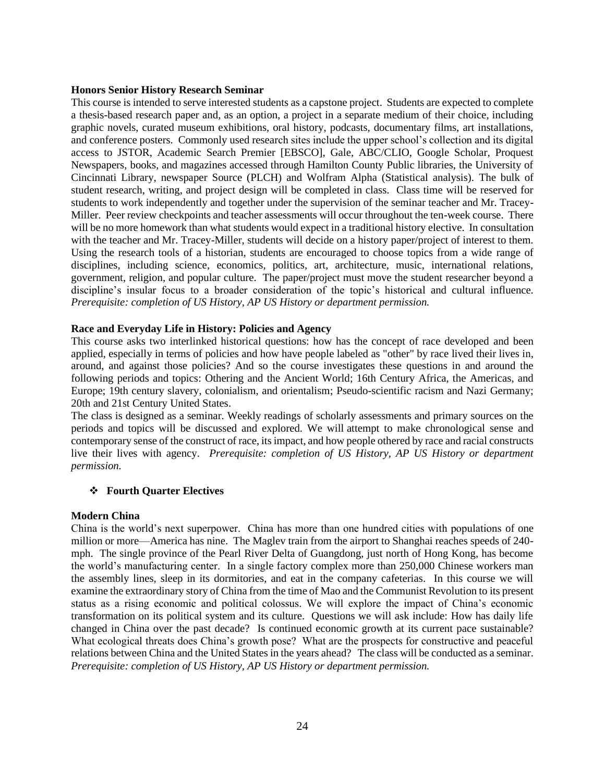## **Honors Senior History Research Seminar**

This course is intended to serve interested students as a capstone project. Students are expected to complete a thesis-based research paper and, as an option, a project in a separate medium of their choice, including graphic novels, curated museum exhibitions, oral history, podcasts, documentary films, art installations, and conference posters. Commonly used research sites include the upper school's collection and its digital access to JSTOR, Academic Search Premier [EBSCO], Gale, ABC/CLIO, Google Scholar, Proquest Newspapers, books, and magazines accessed through Hamilton County Public libraries, the University of Cincinnati Library, newspaper Source (PLCH) and Wolfram Alpha (Statistical analysis). The bulk of student research, writing, and project design will be completed in class. Class time will be reserved for students to work independently and together under the supervision of the seminar teacher and Mr. Tracey-Miller. Peer review checkpoints and teacher assessments will occur throughout the ten-week course. There will be no more homework than what students would expect in a traditional history elective. In consultation with the teacher and Mr. Tracey-Miller, students will decide on a history paper/project of interest to them. Using the research tools of a historian, students are encouraged to choose topics from a wide range of disciplines, including science, economics, politics, art, architecture, music, international relations, government, religion, and popular culture. The paper/project must move the student researcher beyond a discipline's insular focus to a broader consideration of the topic's historical and cultural influence. *Prerequisite: completion of US History, AP US History or department permission.* 

## **Race and Everyday Life in History: Policies and Agency**

This course asks two interlinked historical questions: how has the concept of race developed and been applied, especially in terms of policies and how have people labeled as "other" by race lived their lives in, around, and against those policies? And so the course investigates these questions in and around the following periods and topics: Othering and the Ancient World; 16th Century Africa, the Americas, and Europe; 19th century slavery, colonialism, and orientalism; Pseudo-scientific racism and Nazi Germany; 20th and 21st Century United States.

The class is designed as a seminar. Weekly readings of scholarly assessments and primary sources on the periods and topics will be discussed and explored. We will attempt to make chronological sense and contemporary sense of the construct of race, its impact, and how people othered by race and racial constructs live their lives with agency. *Prerequisite: completion of US History, AP US History or department permission.* 

## ❖ **Fourth Quarter Electives**

#### **Modern China**

China is the world's next superpower. China has more than one hundred cities with populations of one million or more—America has nine. The Maglev train from the airport to Shanghai reaches speeds of 240 mph. The single province of the Pearl River Delta of Guangdong, just north of Hong Kong, has become the world's manufacturing center. In a single factory complex more than 250,000 Chinese workers man the assembly lines, sleep in its dormitories, and eat in the company cafeterias. In this course we will examine the extraordinary story of China from the time of Mao and the Communist Revolution to its present status as a rising economic and political colossus. We will explore the impact of China's economic transformation on its political system and its culture. Questions we will ask include: How has daily life changed in China over the past decade? Is continued economic growth at its current pace sustainable? What ecological threats does China's growth pose? What are the prospects for constructive and peaceful relations between China and the United States in the years ahead? The class will be conducted as a seminar. *Prerequisite: completion of US History, AP US History or department permission.*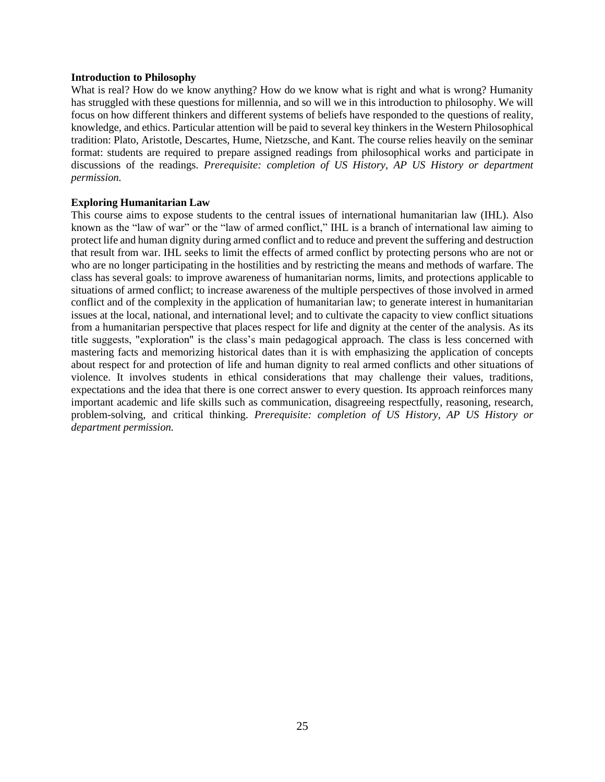#### **Introduction to Philosophy**

What is real? How do we know anything? How do we know what is right and what is wrong? Humanity has struggled with these questions for millennia, and so will we in this introduction to philosophy. We will focus on how different thinkers and different systems of beliefs have responded to the questions of reality, knowledge, and ethics. Particular attention will be paid to several key thinkers in the Western Philosophical tradition: Plato, Aristotle, Descartes, Hume, Nietzsche, and Kant. The course relies heavily on the seminar format: students are required to prepare assigned readings from philosophical works and participate in discussions of the readings. *Prerequisite: completion of US History, AP US History or department permission.* 

## **Exploring Humanitarian Law**

This course aims to expose students to the central issues of international humanitarian law (IHL). Also known as the "law of war" or the "law of armed conflict," IHL is a branch of international law aiming to protect life and human dignity during armed conflict and to reduce and prevent the suffering and destruction that result from war. IHL seeks to limit the effects of armed conflict by protecting persons who are not or who are no longer participating in the hostilities and by restricting the means and methods of warfare. The class has several goals: to improve awareness of humanitarian norms, limits, and protections applicable to situations of armed conflict; to increase awareness of the multiple perspectives of those involved in armed conflict and of the complexity in the application of humanitarian law; to generate interest in humanitarian issues at the local, national, and international level; and to cultivate the capacity to view conflict situations from a humanitarian perspective that places respect for life and dignity at the center of the analysis*.* As its title suggests, "exploration" is the class's main pedagogical approach. The class is less concerned with mastering facts and memorizing historical dates than it is with emphasizing the application of concepts about respect for and protection of life and human dignity to real armed conflicts and other situations of violence. It involves students in ethical considerations that may challenge their values, traditions, expectations and the idea that there is one correct answer to every question. Its approach reinforces many important academic and life skills such as communication, disagreeing respectfully, reasoning, research, problem-solving, and critical thinking. *Prerequisite: completion of US History, AP US History or department permission.*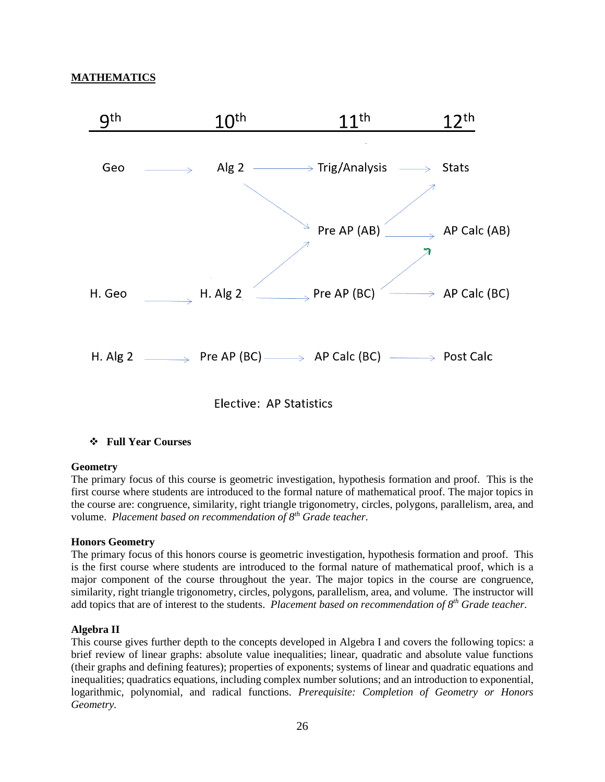## **MATHEMATICS**



## ❖ **Full Year Courses**

#### **Geometry**

The primary focus of this course is geometric investigation, hypothesis formation and proof. This is the first course where students are introduced to the formal nature of mathematical proof. The major topics in the course are: congruence, similarity, right triangle trigonometry, circles, polygons, parallelism, area, and volume. *Placement based on recommendation of 8th Grade teacher.*

#### **Honors Geometry**

The primary focus of this honors course is geometric investigation, hypothesis formation and proof. This is the first course where students are introduced to the formal nature of mathematical proof, which is a major component of the course throughout the year. The major topics in the course are congruence, similarity, right triangle trigonometry, circles, polygons, parallelism, area, and volume. The instructor will add topics that are of interest to the students. *Placement based on recommendation of 8th Grade teacher.*

## **Algebra II**

This course gives further depth to the concepts developed in Algebra I and covers the following topics: a brief review of linear graphs: absolute value inequalities; linear, quadratic and absolute value functions (their graphs and defining features); properties of exponents; systems of linear and quadratic equations and inequalities; quadratics equations, including complex number solutions; and an introduction to exponential, logarithmic, polynomial, and radical functions. *Prerequisite: Completion of Geometry or Honors Geometry.*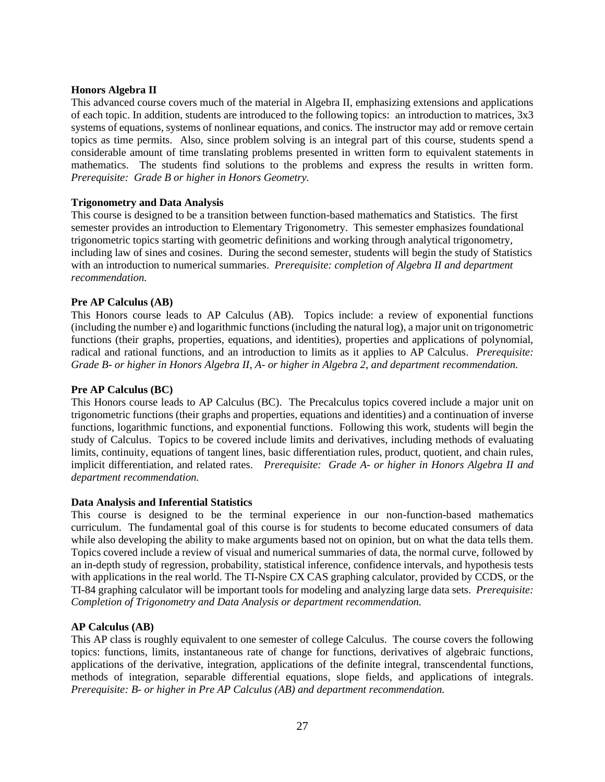## **Honors Algebra II**

This advanced course covers much of the material in Algebra II, emphasizing extensions and applications of each topic. In addition, students are introduced to the following topics: an introduction to matrices, 3x3 systems of equations, systems of nonlinear equations, and conics. The instructor may add or remove certain topics as time permits. Also, since problem solving is an integral part of this course, students spend a considerable amount of time translating problems presented in written form to equivalent statements in mathematics. The students find solutions to the problems and express the results in written form. *Prerequisite: Grade B or higher in Honors Geometry.*

## **Trigonometry and Data Analysis**

This course is designed to be a transition between function-based mathematics and Statistics. The first semester provides an introduction to Elementary Trigonometry. This semester emphasizes foundational trigonometric topics starting with geometric definitions and working through analytical trigonometry, including law of sines and cosines. During the second semester, students will begin the study of Statistics with an introduction to numerical summaries. *Prerequisite: completion of Algebra II and department recommendation.*

# **Pre AP Calculus (AB)**

This Honors course leads to AP Calculus (AB). Topics include: a review of exponential functions (including the number e) and logarithmic functions (including the natural log), a major unit on trigonometric functions (their graphs, properties, equations, and identities), properties and applications of polynomial, radical and rational functions, and an introduction to limits as it applies to AP Calculus. *Prerequisite: Grade B- or higher in Honors Algebra II, A- or higher in Algebra 2, and department recommendation.* 

## **Pre AP Calculus (BC)**

This Honors course leads to AP Calculus (BC). The Precalculus topics covered include a major unit on trigonometric functions (their graphs and properties, equations and identities) and a continuation of inverse functions, logarithmic functions, and exponential functions. Following this work, students will begin the study of Calculus. Topics to be covered include limits and derivatives, including methods of evaluating limits, continuity, equations of tangent lines, basic differentiation rules, product, quotient, and chain rules, implicit differentiation, and related rates. *Prerequisite: Grade A- or higher in Honors Algebra II and department recommendation.* 

## **Data Analysis and Inferential Statistics**

This course is designed to be the terminal experience in our non-function-based mathematics curriculum. The fundamental goal of this course is for students to become educated consumers of data while also developing the ability to make arguments based not on opinion, but on what the data tells them. Topics covered include a review of visual and numerical summaries of data, the normal curve, followed by an in-depth study of regression, probability, statistical inference, confidence intervals, and hypothesis tests with applications in the real world. The TI-Nspire CX CAS graphing calculator, provided by CCDS, or the TI-84 graphing calculator will be important tools for modeling and analyzing large data sets. *Prerequisite: Completion of Trigonometry and Data Analysis or department recommendation.*

## **AP Calculus (AB)**

This AP class is roughly equivalent to one semester of college Calculus. The course covers the following topics: functions, limits, instantaneous rate of change for functions, derivatives of algebraic functions, applications of the derivative, integration, applications of the definite integral, transcendental functions, methods of integration, separable differential equations, slope fields, and applications of integrals. *Prerequisite: B- or higher in Pre AP Calculus (AB) and department recommendation.*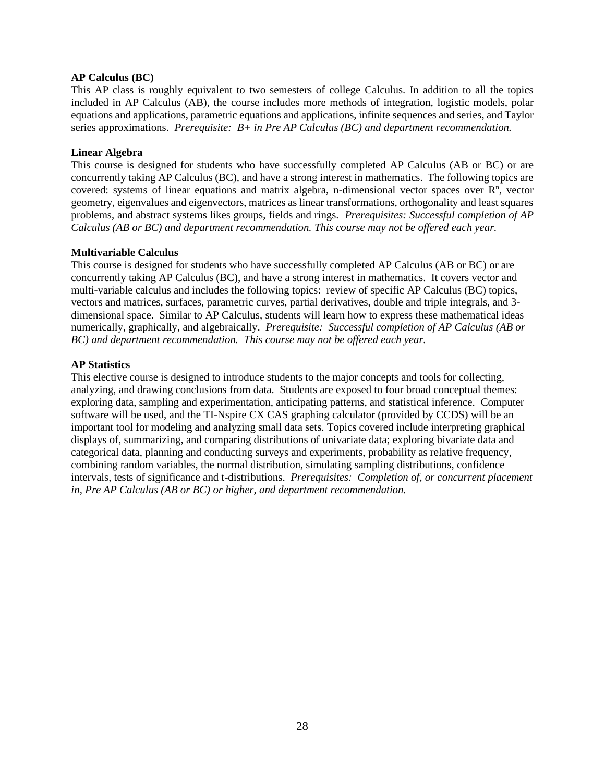## **AP Calculus (BC)**

This AP class is roughly equivalent to two semesters of college Calculus. In addition to all the topics included in AP Calculus (AB), the course includes more methods of integration, logistic models, polar equations and applications, parametric equations and applications, infinite sequences and series, and Taylor series approximations. *Prerequisite: B+ in Pre AP Calculus (BC) and department recommendation.* 

## **Linear Algebra**

This course is designed for students who have successfully completed AP Calculus (AB or BC) or are concurrently taking AP Calculus (BC), and have a strong interest in mathematics. The following topics are covered: systems of linear equations and matrix algebra, n-dimensional vector spaces over  $\mathbb{R}^n$ , vector geometry, eigenvalues and eigenvectors, matrices as linear transformations, orthogonality and least squares problems, and abstract systems likes groups, fields and rings. *Prerequisites: Successful completion of AP Calculus (AB or BC) and department recommendation. This course may not be offered each year.*

## **Multivariable Calculus**

This course is designed for students who have successfully completed AP Calculus (AB or BC) or are concurrently taking AP Calculus (BC), and have a strong interest in mathematics. It covers vector and multi-variable calculus and includes the following topics: review of specific AP Calculus (BC) topics, vectors and matrices, surfaces, parametric curves, partial derivatives, double and triple integrals, and 3 dimensional space. Similar to AP Calculus, students will learn how to express these mathematical ideas numerically, graphically, and algebraically. *Prerequisite: Successful completion of AP Calculus (AB or BC) and department recommendation. This course may not be offered each year.*

## **AP Statistics**

This elective course is designed to introduce students to the major concepts and tools for collecting, analyzing, and drawing conclusions from data. Students are exposed to four broad conceptual themes: exploring data, sampling and experimentation, anticipating patterns, and statistical inference. Computer software will be used, and the TI-Nspire CX CAS graphing calculator (provided by CCDS) will be an important tool for modeling and analyzing small data sets. Topics covered include interpreting graphical displays of, summarizing, and comparing distributions of univariate data; exploring bivariate data and categorical data, planning and conducting surveys and experiments, probability as relative frequency, combining random variables, the normal distribution, simulating sampling distributions, confidence intervals, tests of significance and t-distributions. *Prerequisites: Completion of, or concurrent placement in, Pre AP Calculus (AB or BC) or higher, and department recommendation.*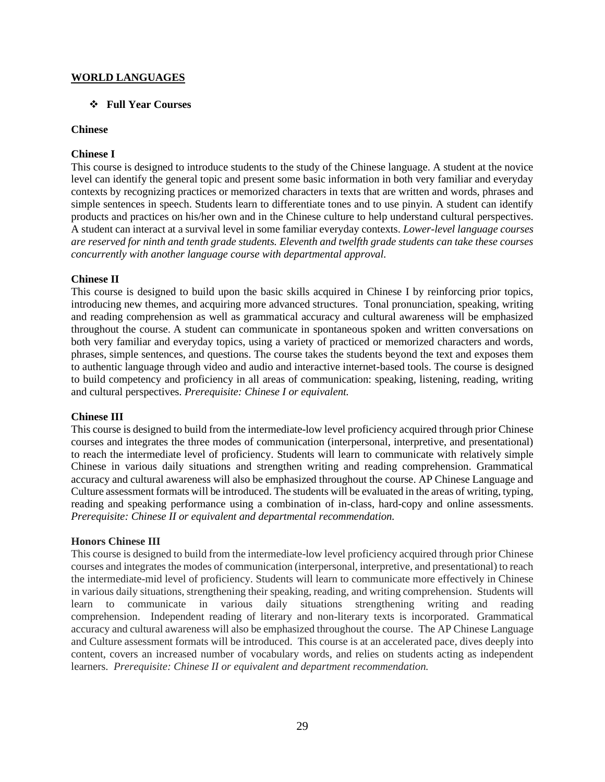## **WORLD LANGUAGES**

## ❖ **Full Year Courses**

## **Chinese**

## **Chinese I**

This course is designed to introduce students to the study of the Chinese language. A student at the novice level can identify the general topic and present some basic information in both very familiar and everyday contexts by recognizing practices or memorized characters in texts that are written and words, phrases and simple sentences in speech. Students learn to differentiate tones and to use pinyin. A student can identify products and practices on his/her own and in the Chinese culture to help understand cultural perspectives. A student can interact at a survival level in some familiar everyday contexts. *Lower-level language courses are reserved for ninth and tenth grade students. Eleventh and twelfth grade students can take these courses concurrently with another language course with departmental approval.*

## **Chinese II**

This course is designed to build upon the basic skills acquired in Chinese I by reinforcing prior topics, introducing new themes, and acquiring more advanced structures. Tonal pronunciation, speaking, writing and reading comprehension as well as grammatical accuracy and cultural awareness will be emphasized throughout the course. A student can communicate in spontaneous spoken and written conversations on both very familiar and everyday topics, using a variety of practiced or memorized characters and words, phrases, simple sentences, and questions. The course takes the students beyond the text and exposes them to authentic language through video and audio and interactive internet-based tools. The course is designed to build competency and proficiency in all areas of communication: speaking, listening, reading, writing and cultural perspectives. *Prerequisite: Chinese I or equivalent.*

#### **Chinese III**

This course is designed to build from the intermediate-low level proficiency acquired through prior Chinese courses and integrates the three modes of communication (interpersonal, interpretive, and presentational) to reach the intermediate level of proficiency. Students will learn to communicate with relatively simple Chinese in various daily situations and strengthen writing and reading comprehension. Grammatical accuracy and cultural awareness will also be emphasized throughout the course. AP Chinese Language and Culture assessment formats will be introduced. The students will be evaluated in the areas of writing, typing, reading and speaking performance using a combination of in-class, hard-copy and online assessments. *Prerequisite: Chinese II or equivalent and departmental recommendation.*

#### **Honors Chinese III**

This course is designed to build from the intermediate-low level proficiency acquired through prior Chinese courses and integrates the modes of communication (interpersonal, interpretive, and presentational) to reach the intermediate-mid level of proficiency. Students will learn to communicate more effectively in Chinese in various daily situations, strengthening their speaking, reading, and writing comprehension. Students will learn to communicate in various daily situations strengthening writing and reading comprehension. Independent reading of literary and non-literary texts is incorporated. Grammatical accuracy and cultural awareness will also be emphasized throughout the course. The AP Chinese Language and Culture assessment formats will be introduced. This course is at an accelerated pace, dives deeply into content, covers an increased number of vocabulary words, and relies on students acting as independent learners. *Prerequisite: Chinese II or equivalent and department recommendation.*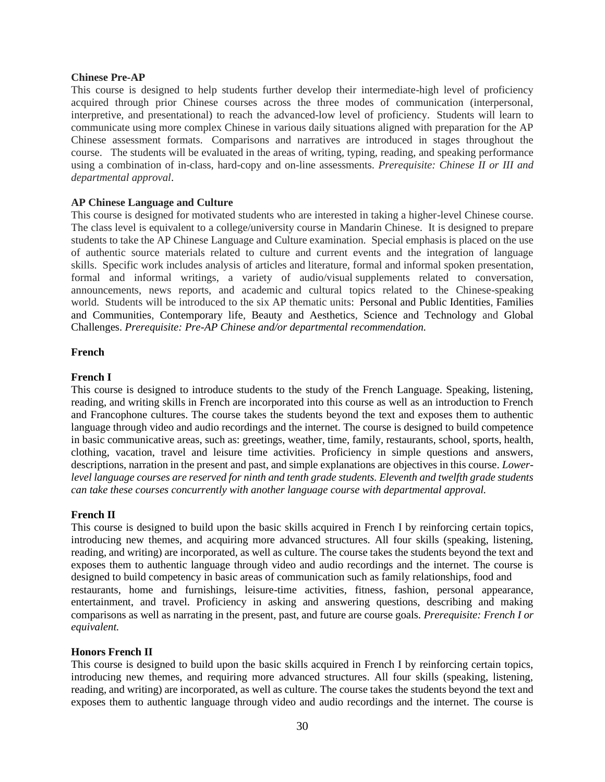#### **Chinese Pre-AP**

This course is designed to help students further develop their intermediate-high level of proficiency acquired through prior Chinese courses across the three modes of communication (interpersonal, interpretive, and presentational) to reach the advanced-low level of proficiency. Students will learn to communicate using more complex Chinese in various daily situations aligned with preparation for the AP Chinese assessment formats. Comparisons and narratives are introduced in stages throughout the course. The students will be evaluated in the areas of writing, typing, reading, and speaking performance using a combination of in-class, hard-copy and on-line assessments. *Prerequisite: Chinese II or III and departmental approval*.

## **AP Chinese Language and Culture**

This course is designed for motivated students who are interested in taking a higher-level Chinese course. The class level is equivalent to a college/university course in Mandarin Chinese. It is designed to prepare students to take the AP Chinese Language and Culture examination. Special emphasis is placed on the use of authentic source materials related to culture and current events and the integration of language skills. Specific work includes analysis of articles and literature, formal and informal spoken presentation, formal and informal writings, a variety of audio/visual supplements related to conversation, announcements, news reports, and academic and cultural topics related to the Chinese-speaking world. Students will be introduced to the six AP thematic units: Personal and Public Identities, Families and Communities, Contemporary life, Beauty and Aesthetics, Science and Technology and Global Challenges. *Prerequisite: Pre-AP Chinese and/or departmental recommendation.*

## **French**

## **French I**

This course is designed to introduce students to the study of the French Language. Speaking, listening, reading, and writing skills in French are incorporated into this course as well as an introduction to French and Francophone cultures. The course takes the students beyond the text and exposes them to authentic language through video and audio recordings and the internet. The course is designed to build competence in basic communicative areas, such as: greetings, weather, time, family, restaurants, school, sports, health, clothing, vacation, travel and leisure time activities. Proficiency in simple questions and answers, descriptions, narration in the present and past, and simple explanations are objectives in this course. *Lowerlevel language courses are reserved for ninth and tenth grade students. Eleventh and twelfth grade students can take these courses concurrently with another language course with departmental approval.*

#### **French II**

This course is designed to build upon the basic skills acquired in French I by reinforcing certain topics, introducing new themes, and acquiring more advanced structures. All four skills (speaking, listening, reading, and writing) are incorporated, as well as culture. The course takes the students beyond the text and exposes them to authentic language through video and audio recordings and the internet. The course is designed to build competency in basic areas of communication such as family relationships, food and restaurants, home and furnishings, leisure-time activities, fitness, fashion, personal appearance, entertainment, and travel. Proficiency in asking and answering questions, describing and making comparisons as well as narrating in the present, past, and future are course goals. *Prerequisite: French I or equivalent.*

#### **Honors French II**

This course is designed to build upon the basic skills acquired in French I by reinforcing certain topics, introducing new themes, and requiring more advanced structures. All four skills (speaking, listening, reading, and writing) are incorporated, as well as culture. The course takes the students beyond the text and exposes them to authentic language through video and audio recordings and the internet. The course is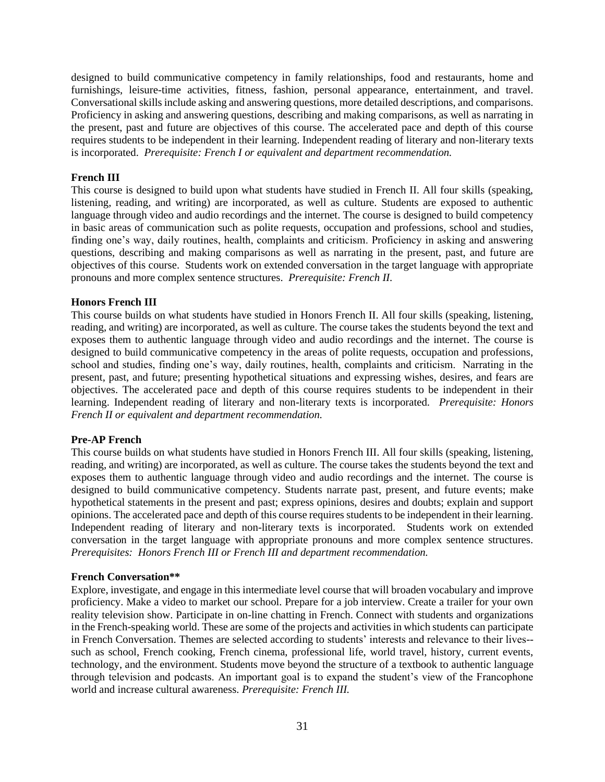designed to build communicative competency in family relationships, food and restaurants, home and furnishings, leisure-time activities, fitness, fashion, personal appearance, entertainment, and travel. Conversational skills include asking and answering questions, more detailed descriptions, and comparisons. Proficiency in asking and answering questions, describing and making comparisons, as well as narrating in the present, past and future are objectives of this course. The accelerated pace and depth of this course requires students to be independent in their learning. Independent reading of literary and non-literary texts is incorporated. *Prerequisite: French I or equivalent and department recommendation.* 

## **French III**

This course is designed to build upon what students have studied in French II. All four skills (speaking, listening, reading, and writing) are incorporated, as well as culture. Students are exposed to authentic language through video and audio recordings and the internet. The course is designed to build competency in basic areas of communication such as polite requests, occupation and professions, school and studies, finding one's way, daily routines, health, complaints and criticism. Proficiency in asking and answering questions, describing and making comparisons as well as narrating in the present, past, and future are objectives of this course. Students work on extended conversation in the target language with appropriate pronouns and more complex sentence structures. *Prerequisite: French II.*

## **Honors French III**

This course builds on what students have studied in Honors French II. All four skills (speaking, listening, reading, and writing) are incorporated, as well as culture. The course takes the students beyond the text and exposes them to authentic language through video and audio recordings and the internet. The course is designed to build communicative competency in the areas of polite requests, occupation and professions, school and studies, finding one's way, daily routines, health, complaints and criticism. Narrating in the present, past, and future; presenting hypothetical situations and expressing wishes, desires, and fears are objectives. The accelerated pace and depth of this course requires students to be independent in their learning. Independent reading of literary and non-literary texts is incorporated. *Prerequisite: Honors French II or equivalent and department recommendation.*

## **Pre-AP French**

This course builds on what students have studied in Honors French III. All four skills (speaking, listening, reading, and writing) are incorporated, as well as culture. The course takes the students beyond the text and exposes them to authentic language through video and audio recordings and the internet. The course is designed to build communicative competency. Students narrate past, present, and future events; make hypothetical statements in the present and past; express opinions, desires and doubts; explain and support opinions. The accelerated pace and depth of this course requires students to be independent in their learning. Independent reading of literary and non-literary texts is incorporated. Students work on extended conversation in the target language with appropriate pronouns and more complex sentence structures. *Prerequisites: Honors French III or French III and department recommendation.*

#### **French Conversation\*\***

Explore, investigate, and engage in this intermediate level course that will broaden vocabulary and improve proficiency. Make a video to market our school. Prepare for a job interview. Create a trailer for your own reality television show. Participate in on-line chatting in French. Connect with students and organizations in the French-speaking world. These are some of the projects and activities in which students can participate in French Conversation. Themes are selected according to students' interests and relevance to their lives- such as school, French cooking, French cinema, professional life, world travel, history, current events, technology, and the environment. Students move beyond the structure of a textbook to authentic language through television and podcasts. An important goal is to expand the student's view of the Francophone world and increase cultural awareness. *Prerequisite: French III.*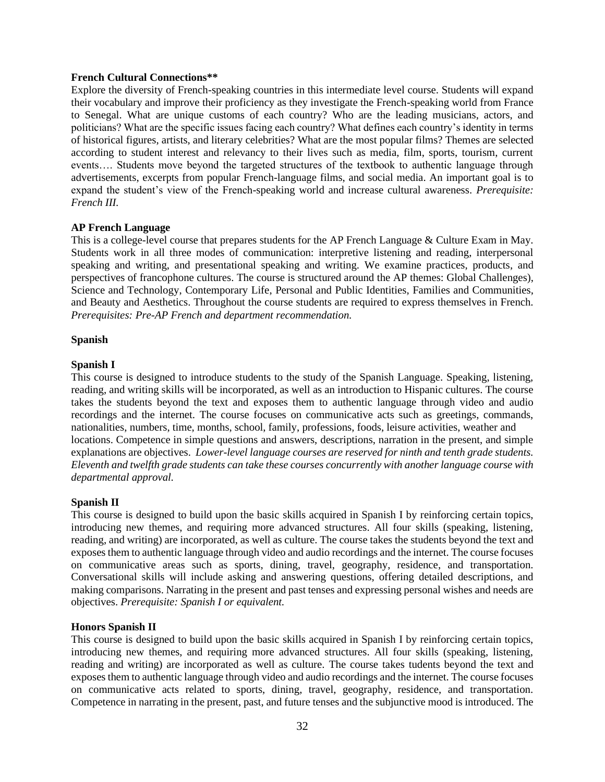## **French Cultural Connections\*\***

Explore the diversity of French-speaking countries in this intermediate level course. Students will expand their vocabulary and improve their proficiency as they investigate the French-speaking world from France to Senegal. What are unique customs of each country? Who are the leading musicians, actors, and politicians? What are the specific issues facing each country? What defines each country's identity in terms of historical figures, artists, and literary celebrities? What are the most popular films? Themes are selected according to student interest and relevancy to their lives such as media, film, sports, tourism, current events…. Students move beyond the targeted structures of the textbook to authentic language through advertisements, excerpts from popular French-language films, and social media. An important goal is to expand the student's view of the French-speaking world and increase cultural awareness. *Prerequisite: French III.*

## **AP French Language**

This is a college-level course that prepares students for the AP French Language & Culture Exam in May. Students work in all three modes of communication: interpretive listening and reading, interpersonal speaking and writing, and presentational speaking and writing. We examine practices, products, and perspectives of francophone cultures. The course is structured around the AP themes: Global Challenges), Science and Technology, Contemporary Life, Personal and Public Identities, Families and Communities, and Beauty and Aesthetics. Throughout the course students are required to express themselves in French. *Prerequisites: Pre-AP French and department recommendation.*

## **Spanish**

## **Spanish I**

This course is designed to introduce students to the study of the Spanish Language. Speaking, listening, reading, and writing skills will be incorporated, as well as an introduction to Hispanic cultures. The course takes the students beyond the text and exposes them to authentic language through video and audio recordings and the internet. The course focuses on communicative acts such as greetings, commands, nationalities, numbers, time, months, school, family, professions, foods, leisure activities, weather and locations. Competence in simple questions and answers, descriptions, narration in the present, and simple explanations are objectives. *Lower-level language courses are reserved for ninth and tenth grade students. Eleventh and twelfth grade students can take these courses concurrently with another language course with departmental approval.*

## **Spanish II**

This course is designed to build upon the basic skills acquired in Spanish I by reinforcing certain topics, introducing new themes, and requiring more advanced structures. All four skills (speaking, listening, reading, and writing) are incorporated, as well as culture. The course takes the students beyond the text and exposes them to authentic language through video and audio recordings and the internet. The course focuses on communicative areas such as sports, dining, travel, geography, residence, and transportation. Conversational skills will include asking and answering questions, offering detailed descriptions, and making comparisons. Narrating in the present and past tenses and expressing personal wishes and needs are objectives. *Prerequisite: Spanish I or equivalent.*

#### **Honors Spanish II**

This course is designed to build upon the basic skills acquired in Spanish I by reinforcing certain topics, introducing new themes, and requiring more advanced structures. All four skills (speaking, listening, reading and writing) are incorporated as well as culture. The course takes tudents beyond the text and exposes them to authentic language through video and audio recordings and the internet. The course focuses on communicative acts related to sports, dining, travel, geography, residence, and transportation. Competence in narrating in the present, past, and future tenses and the subjunctive mood is introduced. The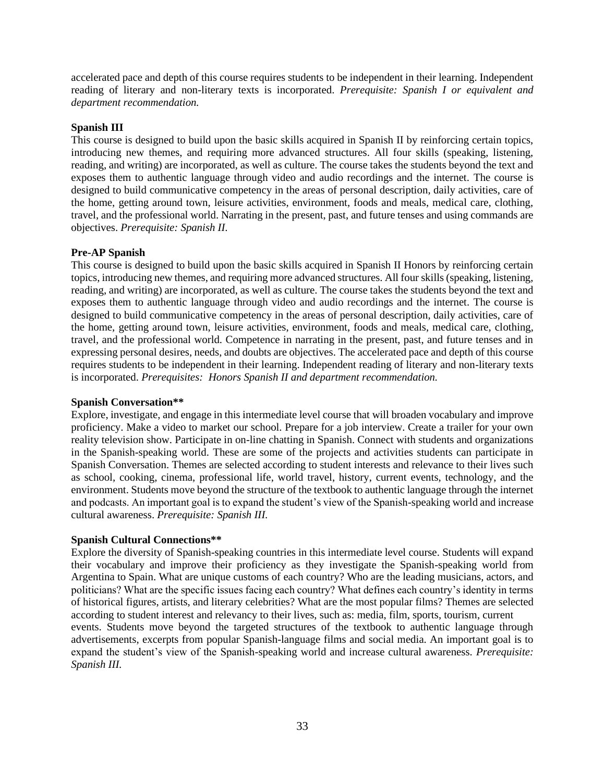accelerated pace and depth of this course requires students to be independent in their learning. Independent reading of literary and non-literary texts is incorporated. *Prerequisite: Spanish I or equivalent and department recommendation.*

## **Spanish III**

This course is designed to build upon the basic skills acquired in Spanish II by reinforcing certain topics, introducing new themes, and requiring more advanced structures. All four skills (speaking, listening, reading, and writing) are incorporated, as well as culture. The course takes the students beyond the text and exposes them to authentic language through video and audio recordings and the internet. The course is designed to build communicative competency in the areas of personal description, daily activities, care of the home, getting around town, leisure activities, environment, foods and meals, medical care, clothing, travel, and the professional world. Narrating in the present, past, and future tenses and using commands are objectives. *Prerequisite: Spanish II.*

# **Pre-AP Spanish**

This course is designed to build upon the basic skills acquired in Spanish II Honors by reinforcing certain topics, introducing new themes, and requiring more advanced structures. All four skills (speaking, listening, reading, and writing) are incorporated, as well as culture. The course takes the students beyond the text and exposes them to authentic language through video and audio recordings and the internet. The course is designed to build communicative competency in the areas of personal description, daily activities, care of the home, getting around town, leisure activities, environment, foods and meals, medical care, clothing, travel, and the professional world. Competence in narrating in the present, past, and future tenses and in expressing personal desires, needs, and doubts are objectives. The accelerated pace and depth of this course requires students to be independent in their learning. Independent reading of literary and non-literary texts is incorporated. *Prerequisites: Honors Spanish II and department recommendation.*

## **Spanish Conversation\*\***

Explore, investigate, and engage in this intermediate level course that will broaden vocabulary and improve proficiency. Make a video to market our school. Prepare for a job interview. Create a trailer for your own reality television show. Participate in on-line chatting in Spanish. Connect with students and organizations in the Spanish-speaking world. These are some of the projects and activities students can participate in Spanish Conversation. Themes are selected according to student interests and relevance to their lives such as school, cooking, cinema, professional life, world travel, history, current events, technology, and the environment. Students move beyond the structure of the textbook to authentic language through the internet and podcasts. An important goal is to expand the student's view of the Spanish-speaking world and increase cultural awareness. *Prerequisite: Spanish III.*

## **Spanish Cultural Connections\*\***

Explore the diversity of Spanish-speaking countries in this intermediate level course. Students will expand their vocabulary and improve their proficiency as they investigate the Spanish-speaking world from Argentina to Spain. What are unique customs of each country? Who are the leading musicians, actors, and politicians? What are the specific issues facing each country? What defines each country's identity in terms of historical figures, artists, and literary celebrities? What are the most popular films? Themes are selected according to student interest and relevancy to their lives, such as: media, film, sports, tourism, current events. Students move beyond the targeted structures of the textbook to authentic language through advertisements, excerpts from popular Spanish-language films and social media. An important goal is to expand the student's view of the Spanish-speaking world and increase cultural awareness. *Prerequisite: Spanish III.*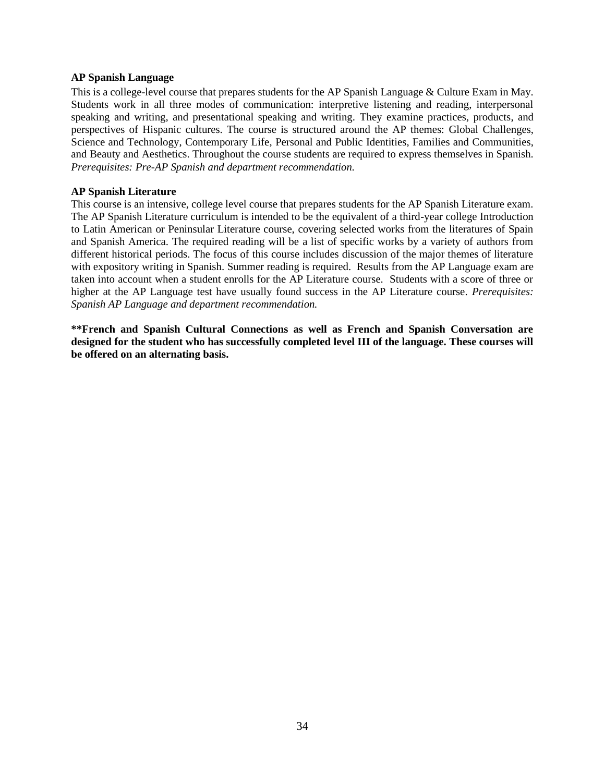#### **AP Spanish Language**

This is a college-level course that prepares students for the AP Spanish Language & Culture Exam in May. Students work in all three modes of communication: interpretive listening and reading, interpersonal speaking and writing, and presentational speaking and writing. They examine practices, products, and perspectives of Hispanic cultures. The course is structured around the AP themes: Global Challenges, Science and Technology, Contemporary Life, Personal and Public Identities, Families and Communities, and Beauty and Aesthetics. Throughout the course students are required to express themselves in Spanish. *Prerequisites: Pre-AP Spanish and department recommendation.*

## **AP Spanish Literature**

This course is an intensive, college level course that prepares students for the AP Spanish Literature exam. The AP Spanish Literature curriculum is intended to be the equivalent of a third-year college Introduction to Latin American or Peninsular Literature course, covering selected works from the literatures of Spain and Spanish America. The required reading will be a list of specific works by a variety of authors from different historical periods. The focus of this course includes discussion of the major themes of literature with expository writing in Spanish. Summer reading is required. Results from the AP Language exam are taken into account when a student enrolls for the AP Literature course. Students with a score of three or higher at the AP Language test have usually found success in the AP Literature course*. Prerequisites: Spanish AP Language and department recommendation.*

**\*\*French and Spanish Cultural Connections as well as French and Spanish Conversation are designed for the student who has successfully completed level III of the language. These courses will be offered on an alternating basis.**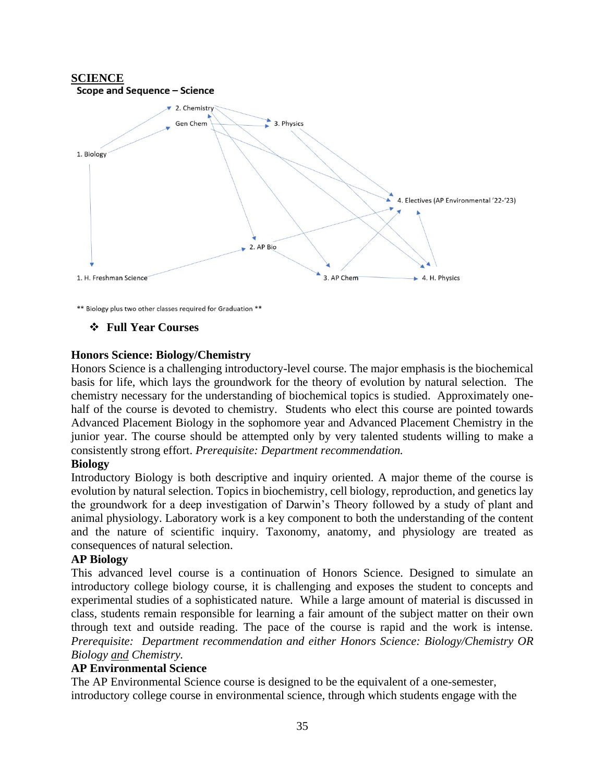

\*\* Biology plus two other classes required for Graduation \*\*

❖ **Full Year Courses**

## **Honors Science: Biology/Chemistry**

Honors Science is a challenging introductory-level course. The major emphasis is the biochemical basis for life, which lays the groundwork for the theory of evolution by natural selection. The chemistry necessary for the understanding of biochemical topics is studied. Approximately onehalf of the course is devoted to chemistry. Students who elect this course are pointed towards Advanced Placement Biology in the sophomore year and Advanced Placement Chemistry in the junior year. The course should be attempted only by very talented students willing to make a consistently strong effort. *Prerequisite: Department recommendation.*

## **Biology**

Introductory Biology is both descriptive and inquiry oriented. A major theme of the course is evolution by natural selection. Topics in biochemistry, cell biology, reproduction, and genetics lay the groundwork for a deep investigation of Darwin's Theory followed by a study of plant and animal physiology. Laboratory work is a key component to both the understanding of the content and the nature of scientific inquiry. Taxonomy, anatomy, and physiology are treated as consequences of natural selection.

## **AP Biology**

This advanced level course is a continuation of Honors Science. Designed to simulate an introductory college biology course, it is challenging and exposes the student to concepts and experimental studies of a sophisticated nature. While a large amount of material is discussed in class, students remain responsible for learning a fair amount of the subject matter on their own through text and outside reading. The pace of the course is rapid and the work is intense. *Prerequisite: Department recommendation and either Honors Science: Biology/Chemistry OR Biology and Chemistry.*

## **AP Environmental Science**

The AP Environmental Science course is designed to be the equivalent of a one-semester, introductory college course in environmental science, through which students engage with the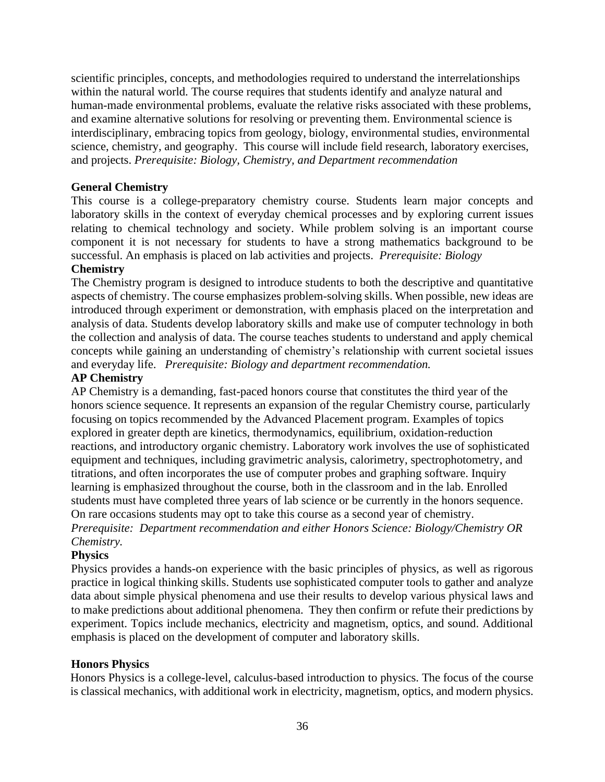scientific principles, concepts, and methodologies required to understand the interrelationships within the natural world. The course requires that students identify and analyze natural and human-made environmental problems, evaluate the relative risks associated with these problems, and examine alternative solutions for resolving or preventing them. Environmental science is interdisciplinary, embracing topics from geology, biology, environmental studies, environmental science, chemistry, and geography. This course will include field research, laboratory exercises, and projects. *Prerequisite: Biology, Chemistry, and Department recommendation*

# **General Chemistry**

This course is a college-preparatory chemistry course. Students learn major concepts and laboratory skills in the context of everyday chemical processes and by exploring current issues relating to chemical technology and society. While problem solving is an important course component it is not necessary for students to have a strong mathematics background to be successful. An emphasis is placed on lab activities and projects. *Prerequisite: Biology*

# **Chemistry**

The Chemistry program is designed to introduce students to both the descriptive and quantitative aspects of chemistry. The course emphasizes problem-solving skills. When possible, new ideas are introduced through experiment or demonstration, with emphasis placed on the interpretation and analysis of data. Students develop laboratory skills and make use of computer technology in both the collection and analysis of data. The course teaches students to understand and apply chemical concepts while gaining an understanding of chemistry's relationship with current societal issues and everyday life. *Prerequisite: Biology and department recommendation.*

# **AP Chemistry**

AP Chemistry is a demanding, fast-paced honors course that constitutes the third year of the honors science sequence. It represents an expansion of the regular Chemistry course, particularly focusing on topics recommended by the Advanced Placement program. Examples of topics explored in greater depth are kinetics, thermodynamics, equilibrium, oxidation-reduction reactions, and introductory organic chemistry. Laboratory work involves the use of sophisticated equipment and techniques, including gravimetric analysis, calorimetry, spectrophotometry, and titrations, and often incorporates the use of computer probes and graphing software. Inquiry learning is emphasized throughout the course, both in the classroom and in the lab. Enrolled students must have completed three years of lab science or be currently in the honors sequence. On rare occasions students may opt to take this course as a second year of chemistry. *Prerequisite: Department recommendation and either Honors Science: Biology/Chemistry OR Chemistry.*

# **Physics**

Physics provides a hands-on experience with the basic principles of physics, as well as rigorous practice in logical thinking skills. Students use sophisticated computer tools to gather and analyze data about simple physical phenomena and use their results to develop various physical laws and to make predictions about additional phenomena. They then confirm or refute their predictions by experiment. Topics include mechanics, electricity and magnetism, optics, and sound. Additional emphasis is placed on the development of computer and laboratory skills.

# **Honors Physics**

Honors Physics is a college-level, calculus-based introduction to physics. The focus of the course is classical mechanics, with additional work in electricity, magnetism, optics, and modern physics.